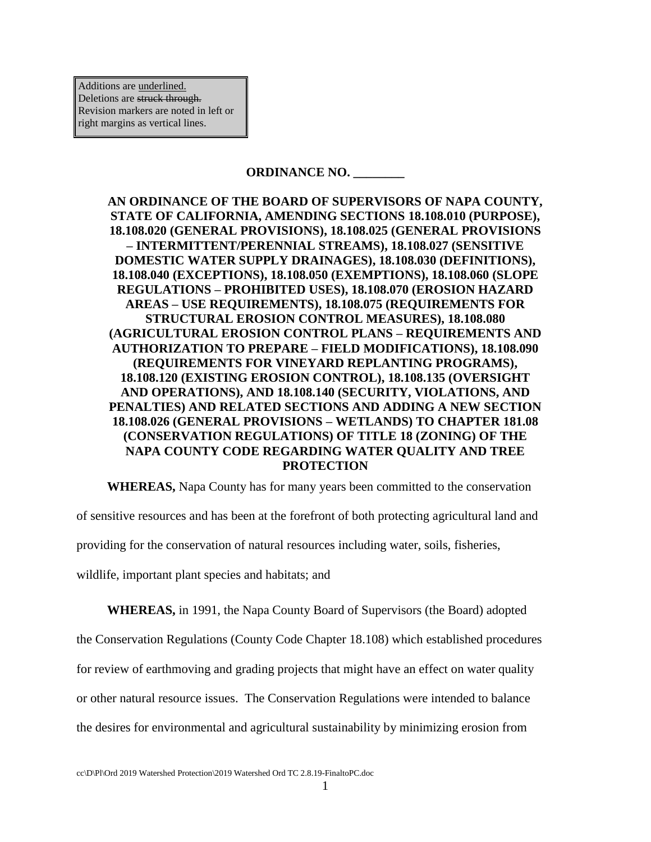Additions are underlined. Deletions are struck through. Revision markers are noted in left or right margins as vertical lines.

### **ORDINANCE NO. \_\_\_\_\_\_\_\_**

**AN ORDINANCE OF THE BOARD OF SUPERVISORS OF NAPA COUNTY, STATE OF CALIFORNIA, AMENDING SECTIONS 18.108.010 (PURPOSE), 18.108.020 (GENERAL PROVISIONS), 18.108.025 (GENERAL PROVISIONS – INTERMITTENT/PERENNIAL STREAMS), 18.108.027 (SENSITIVE DOMESTIC WATER SUPPLY DRAINAGES), 18.108.030 (DEFINITIONS), 18.108.040 (EXCEPTIONS), 18.108.050 (EXEMPTIONS), 18.108.060 (SLOPE REGULATIONS – PROHIBITED USES), 18.108.070 (EROSION HAZARD AREAS – USE REQUIREMENTS), 18.108.075 (REQUIREMENTS FOR STRUCTURAL EROSION CONTROL MEASURES), 18.108.080 (AGRICULTURAL EROSION CONTROL PLANS – REQUIREMENTS AND AUTHORIZATION TO PREPARE – FIELD MODIFICATIONS), 18.108.090 (REQUIREMENTS FOR VINEYARD REPLANTING PROGRAMS), 18.108.120 (EXISTING EROSION CONTROL), 18.108.135 (OVERSIGHT AND OPERATIONS), AND 18.108.140 (SECURITY, VIOLATIONS, AND PENALTIES) AND RELATED SECTIONS AND ADDING A NEW SECTION 18.108.026 (GENERAL PROVISIONS – WETLANDS) TO CHAPTER 181.08 (CONSERVATION REGULATIONS) OF TITLE 18 (ZONING) OF THE NAPA COUNTY CODE REGARDING WATER QUALITY AND TREE PROTECTION**

**WHEREAS,** Napa County has for many years been committed to the conservation

of sensitive resources and has been at the forefront of both protecting agricultural land and

providing for the conservation of natural resources including water, soils, fisheries,

wildlife, important plant species and habitats; and

**WHEREAS,** in 1991, the Napa County Board of Supervisors (the Board) adopted

the Conservation Regulations (County Code Chapter 18.108) which established procedures

for review of earthmoving and grading projects that might have an effect on water quality

or other natural resource issues. The Conservation Regulations were intended to balance

the desires for environmental and agricultural sustainability by minimizing erosion from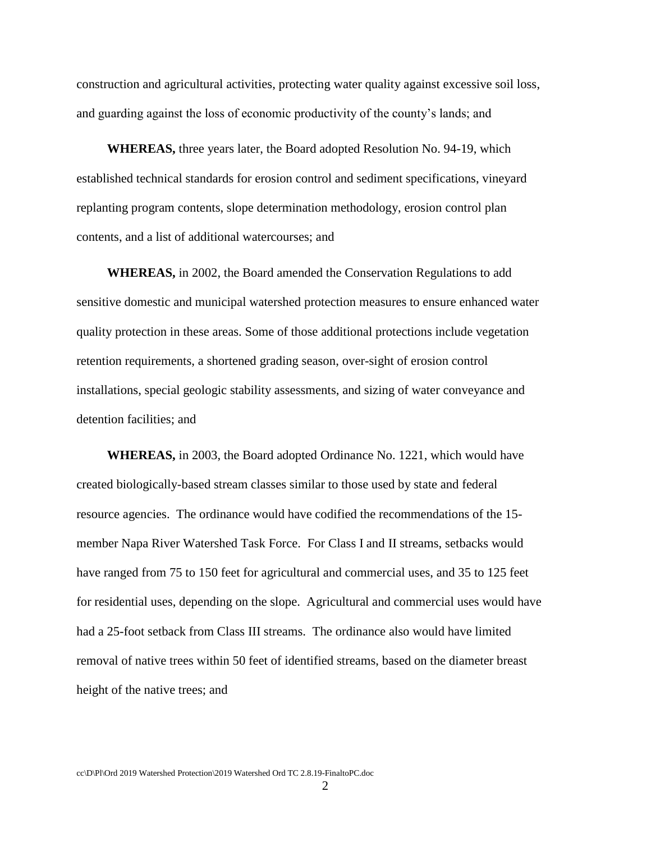construction and agricultural activities, protecting water quality against excessive soil loss, and guarding against the loss of economic productivity of the county's lands; and

**WHEREAS,** three years later, the Board adopted Resolution No. 94-19, which established technical standards for erosion control and sediment specifications, vineyard replanting program contents, slope determination methodology, erosion control plan contents, and a list of additional watercourses; and

**WHEREAS,** in 2002, the Board amended the Conservation Regulations to add sensitive domestic and municipal watershed protection measures to ensure enhanced water quality protection in these areas. Some of those additional protections include vegetation retention requirements, a shortened grading season, over-sight of erosion control installations, special geologic stability assessments, and sizing of water conveyance and detention facilities; and

**WHEREAS,** in 2003, the Board adopted Ordinance No. 1221, which would have created biologically-based stream classes similar to those used by state and federal resource agencies. The ordinance would have codified the recommendations of the 15 member Napa River Watershed Task Force. For Class I and II streams, setbacks would have ranged from 75 to 150 feet for agricultural and commercial uses, and 35 to 125 feet for residential uses, depending on the slope. Agricultural and commercial uses would have had a 25-foot setback from Class III streams. The ordinance also would have limited removal of native trees within 50 feet of identified streams, based on the diameter breast height of the native trees; and

2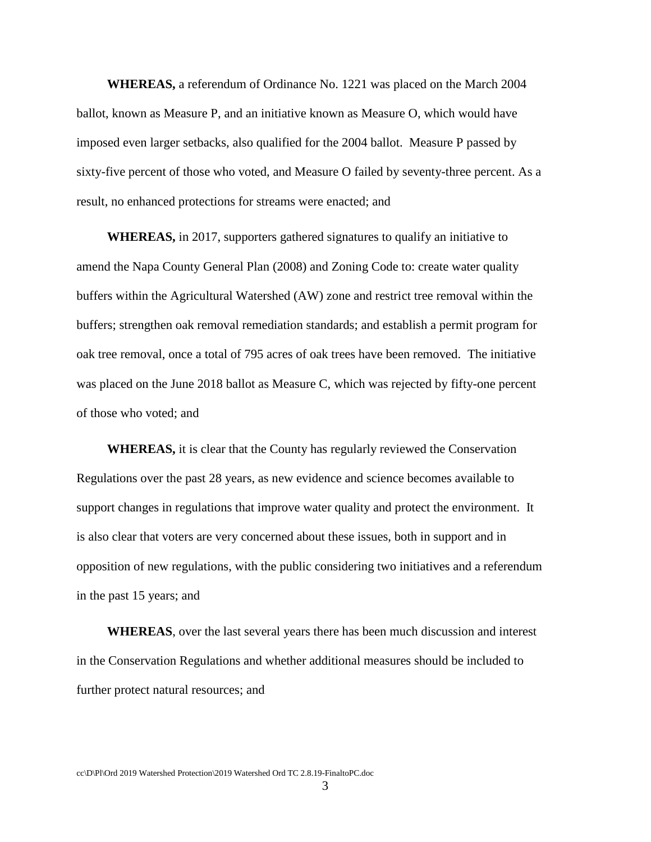**WHEREAS,** a referendum of Ordinance No. 1221 was placed on the March 2004 ballot, known as Measure P, and an initiative known as Measure O, which would have imposed even larger setbacks, also qualified for the 2004 ballot. Measure P passed by sixty-five percent of those who voted, and Measure O failed by seventy-three percent. As a result, no enhanced protections for streams were enacted; and

**WHEREAS,** in 2017, supporters gathered signatures to qualify an initiative to amend the Napa County General Plan (2008) and Zoning Code to: create water quality buffers within the Agricultural Watershed (AW) zone and restrict tree removal within the buffers; strengthen oak removal remediation standards; and establish a permit program for oak tree removal, once a total of 795 acres of oak trees have been removed. The initiative was placed on the June 2018 ballot as Measure C, which was rejected by fifty-one percent of those who voted; and

**WHEREAS,** it is clear that the County has regularly reviewed the Conservation Regulations over the past 28 years, as new evidence and science becomes available to support changes in regulations that improve water quality and protect the environment. It is also clear that voters are very concerned about these issues, both in support and in opposition of new regulations, with the public considering two initiatives and a referendum in the past 15 years; and

**WHEREAS**, over the last several years there has been much discussion and interest in the Conservation Regulations and whether additional measures should be included to further protect natural resources; and

3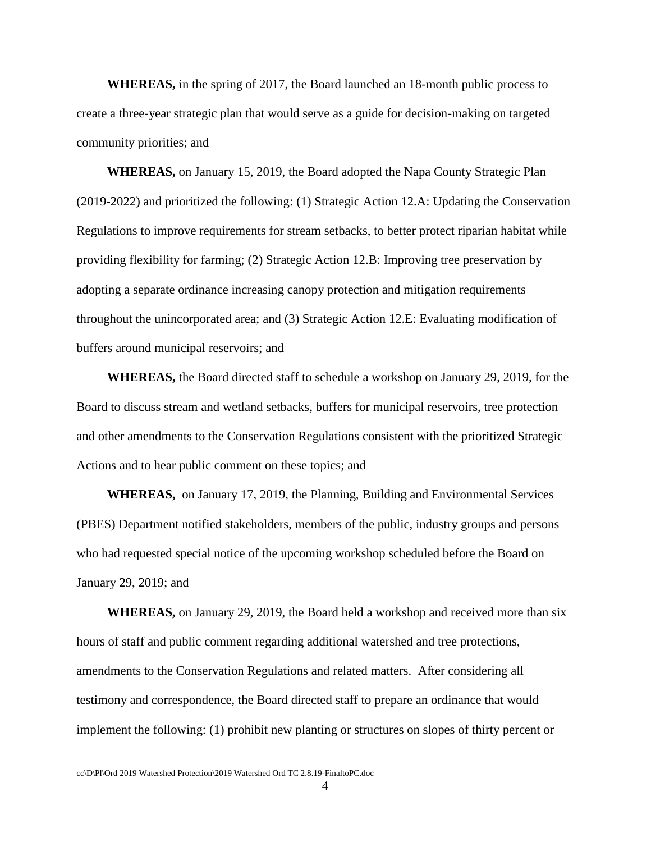**WHEREAS,** in the spring of 2017, the Board launched an 18-month public process to create a three-year strategic plan that would serve as a guide for decision-making on targeted community priorities; and

**WHEREAS,** on January 15, 2019, the Board adopted the Napa County Strategic Plan (2019-2022) and prioritized the following: (1) Strategic Action 12.A: Updating the Conservation Regulations to improve requirements for stream setbacks, to better protect riparian habitat while providing flexibility for farming; (2) Strategic Action 12.B: Improving tree preservation by adopting a separate ordinance increasing canopy protection and mitigation requirements throughout the unincorporated area; and (3) Strategic Action 12.E: Evaluating modification of buffers around municipal reservoirs; and

**WHEREAS,** the Board directed staff to schedule a workshop on January 29, 2019, for the Board to discuss stream and wetland setbacks, buffers for municipal reservoirs, tree protection and other amendments to the Conservation Regulations consistent with the prioritized Strategic Actions and to hear public comment on these topics; and

**WHEREAS,** on January 17, 2019, the Planning, Building and Environmental Services (PBES) Department notified stakeholders, members of the public, industry groups and persons who had requested special notice of the upcoming workshop scheduled before the Board on January 29, 2019; and

**WHEREAS,** on January 29, 2019, the Board held a workshop and received more than six hours of staff and public comment regarding additional watershed and tree protections, amendments to the Conservation Regulations and related matters. After considering all testimony and correspondence, the Board directed staff to prepare an ordinance that would implement the following: (1) prohibit new planting or structures on slopes of thirty percent or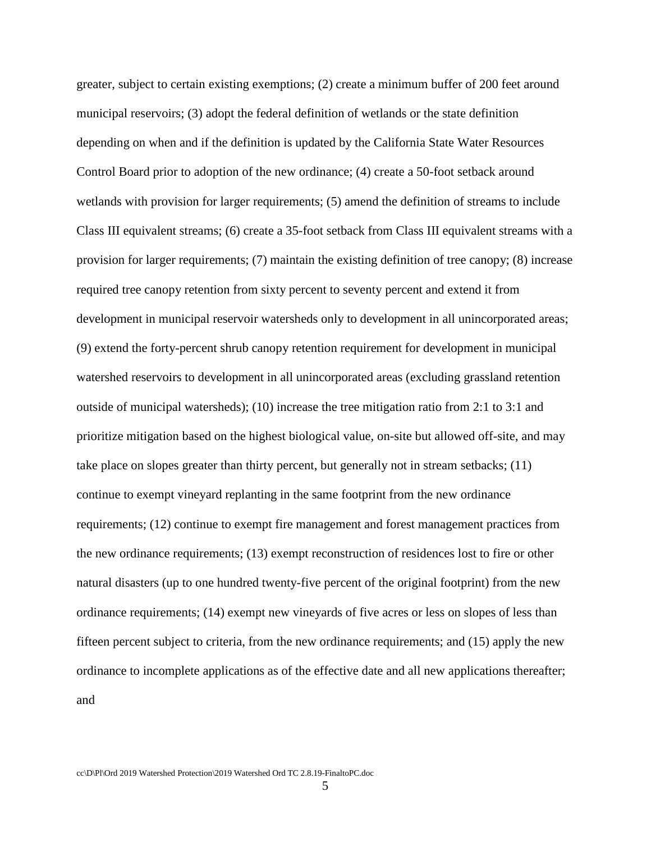greater, subject to certain existing exemptions; (2) create a minimum buffer of 200 feet around municipal reservoirs; (3) adopt the federal definition of wetlands or the state definition depending on when and if the definition is updated by the California State Water Resources Control Board prior to adoption of the new ordinance; (4) create a 50-foot setback around wetlands with provision for larger requirements; (5) amend the definition of streams to include Class III equivalent streams; (6) create a 35-foot setback from Class III equivalent streams with a provision for larger requirements; (7) maintain the existing definition of tree canopy; (8) increase required tree canopy retention from sixty percent to seventy percent and extend it from development in municipal reservoir watersheds only to development in all unincorporated areas; (9) extend the forty-percent shrub canopy retention requirement for development in municipal watershed reservoirs to development in all unincorporated areas (excluding grassland retention outside of municipal watersheds); (10) increase the tree mitigation ratio from 2:1 to 3:1 and prioritize mitigation based on the highest biological value, on-site but allowed off-site, and may take place on slopes greater than thirty percent, but generally not in stream setbacks; (11) continue to exempt vineyard replanting in the same footprint from the new ordinance requirements; (12) continue to exempt fire management and forest management practices from the new ordinance requirements; (13) exempt reconstruction of residences lost to fire or other natural disasters (up to one hundred twenty-five percent of the original footprint) from the new ordinance requirements; (14) exempt new vineyards of five acres or less on slopes of less than fifteen percent subject to criteria, from the new ordinance requirements; and (15) apply the new ordinance to incomplete applications as of the effective date and all new applications thereafter; and

5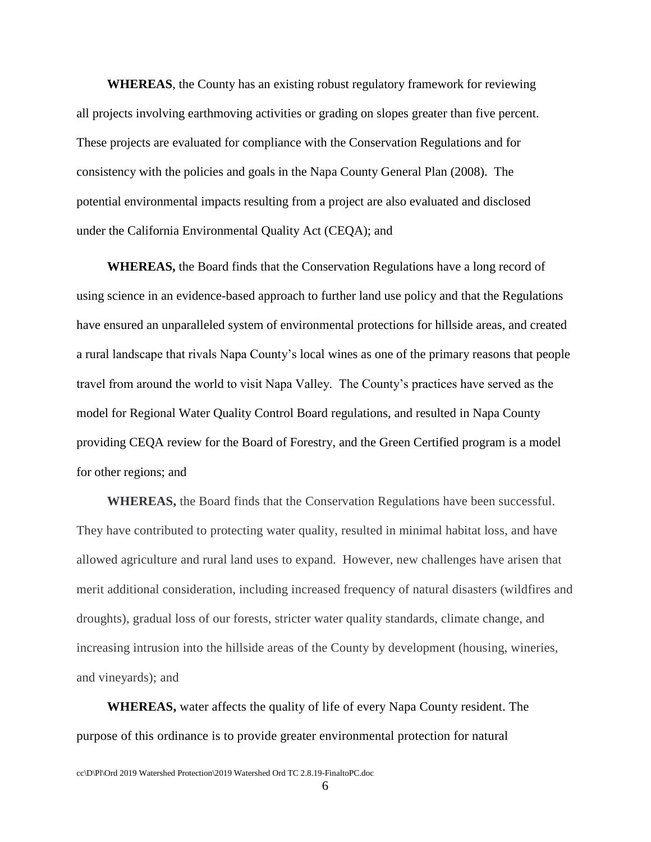**WHEREAS**, the County has an existing robust regulatory framework for reviewing all projects involving earthmoving activities or grading on slopes greater than five percent. These projects are evaluated for compliance with the Conservation Regulations and for consistency with the policies and goals in the Napa County General Plan (2008). The potential environmental impacts resulting from a project are also evaluated and disclosed under the California Environmental Quality Act (CEQA); and

**WHEREAS,** the Board finds that the Conservation Regulations have a long record of using science in an evidence-based approach to further land use policy and that the Regulations have ensured an unparalleled system of environmental protections for hillside areas, and created a rural landscape that rivals Napa County's local wines as one of the primary reasons that people travel from around the world to visit Napa Valley. The County's practices have served as the model for Regional Water Quality Control Board regulations, and resulted in Napa County providing CEQA review for the Board of Forestry, and the Green Certified program is a model for other regions; and

**WHEREAS,** the Board finds that the Conservation Regulations have been successful. They have contributed to protecting water quality, resulted in minimal habitat loss, and have allowed agriculture and rural land uses to expand. However, new challenges have arisen that merit additional consideration, including increased frequency of natural disasters (wildfires and droughts), gradual loss of our forests, stricter water quality standards, climate change, and increasing intrusion into the hillside areas of the County by development (housing, wineries, and vineyards); and

**WHEREAS,** water affects the quality of life of every Napa County resident. The purpose of this ordinance is to provide greater environmental protection for natural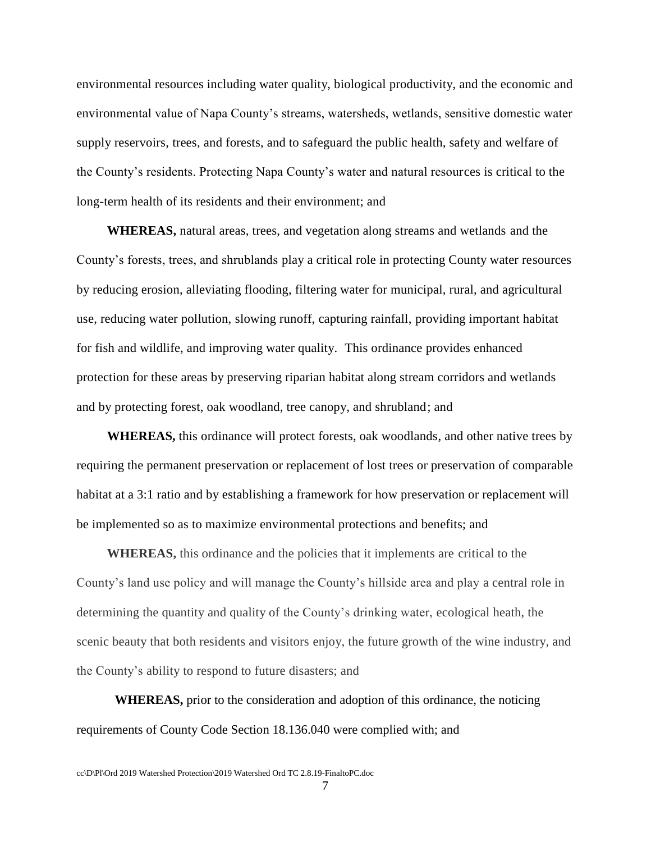environmental resources including water quality, biological productivity, and the economic and environmental value of Napa County's streams, watersheds, wetlands, sensitive domestic water supply reservoirs, trees, and forests, and to safeguard the public health, safety and welfare of the County's residents. Protecting Napa County's water and natural resources is critical to the long-term health of its residents and their environment; and

**WHEREAS,** natural areas, trees, and vegetation along streams and wetlands and the County's forests, trees, and shrublands play a critical role in protecting County water resources by reducing erosion, alleviating flooding, filtering water for municipal, rural, and agricultural use, reducing water pollution, slowing runoff, capturing rainfall, providing important habitat for fish and wildlife, and improving water quality. This ordinance provides enhanced protection for these areas by preserving riparian habitat along stream corridors and wetlands and by protecting forest, oak woodland, tree canopy, and shrubland; and

**WHEREAS,** this ordinance will protect forests, oak woodlands, and other native trees by requiring the permanent preservation or replacement of lost trees or preservation of comparable habitat at a 3:1 ratio and by establishing a framework for how preservation or replacement will be implemented so as to maximize environmental protections and benefits; and

**WHEREAS,** this ordinance and the policies that it implements are critical to the County's land use policy and will manage the County's hillside area and play a central role in determining the quantity and quality of the County's drinking water, ecological heath, the scenic beauty that both residents and visitors enjoy, the future growth of the wine industry, and the County's ability to respond to future disasters; and

**WHEREAS,** prior to the consideration and adoption of this ordinance, the noticing requirements of County Code Section 18.136.040 were complied with; and

7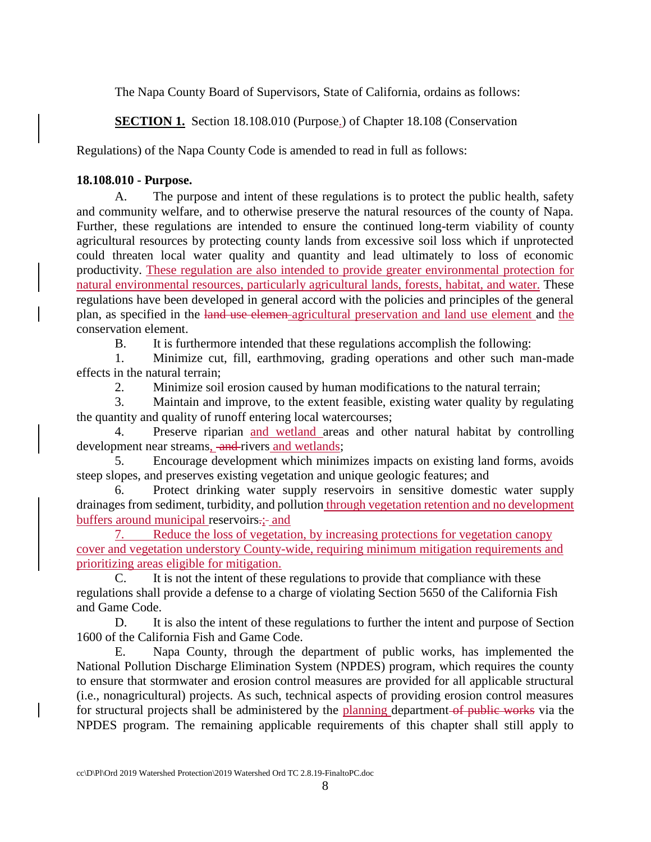The Napa County Board of Supervisors, State of California, ordains as follows:

**SECTION 1.** Section 18.108.010 (Purpose.) of Chapter 18.108 (Conservation

Regulations) of the Napa County Code is amended to read in full as follows:

## **18.108.010 - Purpose.**

A. The purpose and intent of these regulations is to protect the public health, safety and community welfare, and to otherwise preserve the natural resources of the county of Napa. Further, these regulations are intended to ensure the continued long-term viability of county agricultural resources by protecting county lands from excessive soil loss which if unprotected could threaten local water quality and quantity and lead ultimately to loss of economic productivity. These regulation are also intended to provide greater environmental protection for natural environmental resources, particularly agricultural lands, forests, habitat, and water. These regulations have been developed in general accord with the policies and principles of the general plan, as specified in the land use elemen agricultural preservation and land use element and the conservation element.

B. It is furthermore intended that these regulations accomplish the following:

1. Minimize cut, fill, earthmoving, grading operations and other such man-made effects in the natural terrain;

2. Minimize soil erosion caused by human modifications to the natural terrain;

3. Maintain and improve, to the extent feasible, existing water quality by regulating the quantity and quality of runoff entering local watercourses;

4. Preserve riparian and wetland areas and other natural habitat by controlling development near streams, and rivers and wetlands;

5. Encourage development which minimizes impacts on existing land forms, avoids steep slopes, and preserves existing vegetation and unique geologic features; and

6. Protect drinking water supply reservoirs in sensitive domestic water supply drainages from sediment, turbidity, and pollution through vegetation retention and no development buffers around municipal reservoirs.;- and

7. Reduce the loss of vegetation, by increasing protections for vegetation canopy cover and vegetation understory County-wide, requiring minimum mitigation requirements and prioritizing areas eligible for mitigation.

C. It is not the intent of these regulations to provide that compliance with these regulations shall provide a defense to a charge of violating Section 5650 of the California Fish and Game Code.

D. It is also the intent of these regulations to further the intent and purpose of Section 1600 of the California Fish and Game Code.

E. Napa County, through the department of public works, has implemented the National Pollution Discharge Elimination System (NPDES) program, which requires the county to ensure that stormwater and erosion control measures are provided for all applicable structural (i.e., nonagricultural) projects. As such, technical aspects of providing erosion control measures for structural projects shall be administered by the planning department of public works via the NPDES program. The remaining applicable requirements of this chapter shall still apply to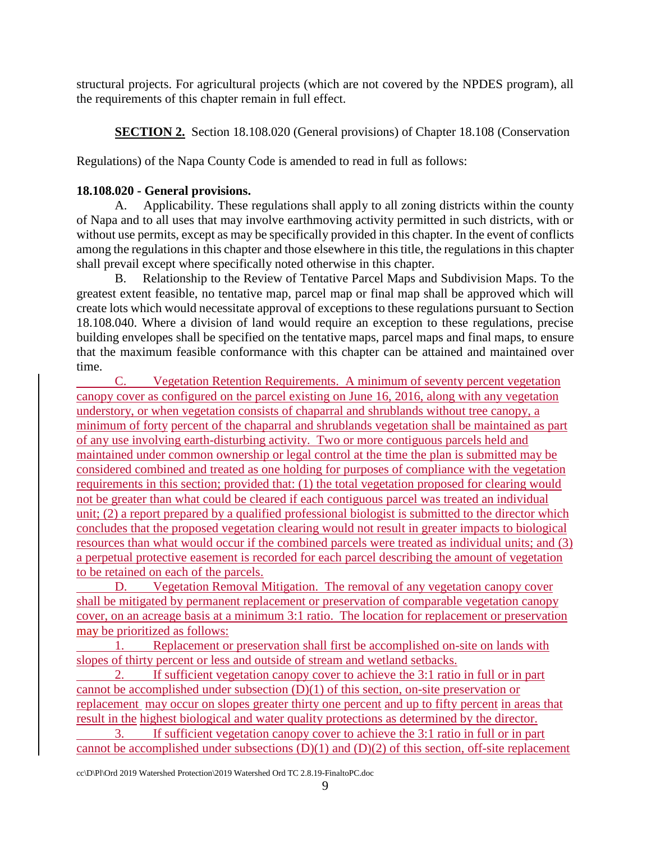structural projects. For agricultural projects (which are not covered by the NPDES program), all the requirements of this chapter remain in full effect.

**SECTION 2.** Section 18.108.020 (General provisions) of Chapter 18.108 (Conservation

Regulations) of the Napa County Code is amended to read in full as follows:

## **18.108.020 - General provisions.**

A. Applicability. These regulations shall apply to all zoning districts within the county of Napa and to all uses that may involve earthmoving activity permitted in such districts, with or without use permits, except as may be specifically provided in this chapter. In the event of conflicts among the regulations in this chapter and those elsewhere in this title, the regulations in this chapter shall prevail except where specifically noted otherwise in this chapter.

B. Relationship to the Review of Tentative Parcel Maps and Subdivision Maps. To the greatest extent feasible, no tentative map, parcel map or final map shall be approved which will create lots which would necessitate approval of exceptions to these regulations pursuant to Section 18.108.040. Where a division of land would require an exception to these regulations, precise building envelopes shall be specified on the tentative maps, parcel maps and final maps, to ensure that the maximum feasible conformance with this chapter can be attained and maintained over time.

C. Vegetation Retention Requirements. A minimum of seventy percent vegetation canopy cover as configured on the parcel existing on June 16, 2016, along with any vegetation understory, or when vegetation consists of chaparral and shrublands without tree canopy, a minimum of forty percent of the chaparral and shrublands vegetation shall be maintained as part of any use involving earth-disturbing activity. Two or more contiguous parcels held and maintained under common ownership or legal control at the time the plan is submitted may be considered combined and treated as one holding for purposes of compliance with the vegetation requirements in this section; provided that: (1) the total vegetation proposed for clearing would not be greater than what could be cleared if each contiguous parcel was treated an individual unit; (2) a report prepared by a qualified professional biologist is submitted to the director which concludes that the proposed vegetation clearing would not result in greater impacts to biological resources than what would occur if the combined parcels were treated as individual units; and (3) a perpetual protective easement is recorded for each parcel describing the amount of vegetation to be retained on each of the parcels.

D. Vegetation Removal Mitigation. The removal of any vegetation canopy cover shall be mitigated by permanent replacement or preservation of comparable vegetation canopy cover, on an acreage basis at a minimum 3:1 ratio. The location for replacement or preservation may be prioritized as follows:

1. Replacement or preservation shall first be accomplished on-site on lands with slopes of thirty percent or less and outside of stream and wetland setbacks.

2. If sufficient vegetation canopy cover to achieve the 3:1 ratio in full or in part cannot be accomplished under subsection (D)(1) of this section, on-site preservation or replacement may occur on slopes greater thirty one percent and up to fifty percent in areas that result in the highest biological and water quality protections as determined by the director. 3. If sufficient vegetation canopy cover to achieve the 3:1 ratio in full or in part cannot be accomplished under subsections (D)(1) and (D)(2) of this section, off-site replacement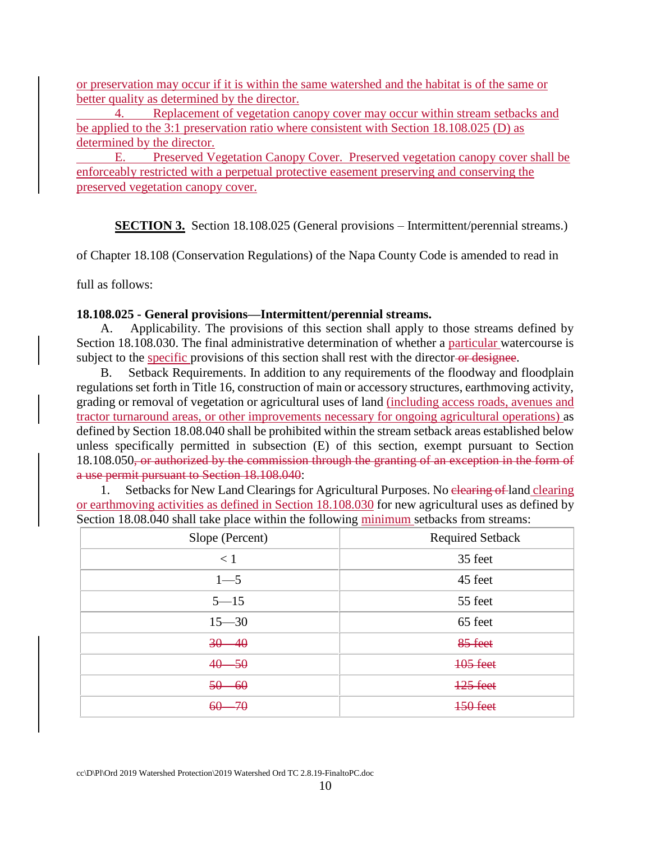or preservation may occur if it is within the same watershed and the habitat is of the same or better quality as determined by the director.

4. Replacement of vegetation canopy cover may occur within stream setbacks and be applied to the 3:1 preservation ratio where consistent with Section 18.108.025 (D) as determined by the director.

E. Preserved Vegetation Canopy Cover. Preserved vegetation canopy cover shall be enforceably restricted with a perpetual protective easement preserving and conserving the preserved vegetation canopy cover.

**SECTION 3.** Section 18.108.025 (General provisions – Intermittent/perennial streams.)

of Chapter 18.108 (Conservation Regulations) of the Napa County Code is amended to read in

full as follows:

#### **18.108.025 - General provisions—Intermittent/perennial streams.**

Applicability. The provisions of this section shall apply to those streams defined by Section 18.108.030. The final administrative determination of whether a particular watercourse is subject to the specific provisions of this section shall rest with the director or designee.

B. Setback Requirements. In addition to any requirements of the floodway and floodplain regulations set forth in Title 16, construction of main or accessory structures, earthmoving activity, grading or removal of vegetation or agricultural uses of land (including access roads, avenues and tractor turnaround areas, or other improvements necessary for ongoing agricultural operations) as defined by Section 18.08.040 shall be prohibited within the stream setback areas established below unless specifically permitted in subsection (E) of this section, exempt pursuant to Section 18.108.050, or authorized by the commission through the granting of an exception in the form of a use permit pursuant to Section 18.108.040:

1. Setbacks for New Land Clearings for Agricultural Purposes. No elearing of land clearing or earthmoving activities as defined in Section 18.108.030 for new agricultural uses as defined by Section 18.08.040 shall take place within the following minimum setbacks from streams:

| Slope (Percent) | <b>Required Setback</b> |
|-----------------|-------------------------|
| < 1             | 35 feet                 |
| $1 - 5$         | 45 feet                 |
| $5 - 15$        | 55 feet                 |
| $15 - 30$       | 65 feet                 |
| $30 - 40$       | 85 feet                 |
| $40 - 50$       | <b>105 feet</b>         |
| $50 - 60$       | $125$ feet              |
| $60 - 70$       | 150 feet                |

cc\D\Pl\Ord 2019 Watershed Protection\2019 Watershed Ord TC 2.8.19-FinaltoPC.doc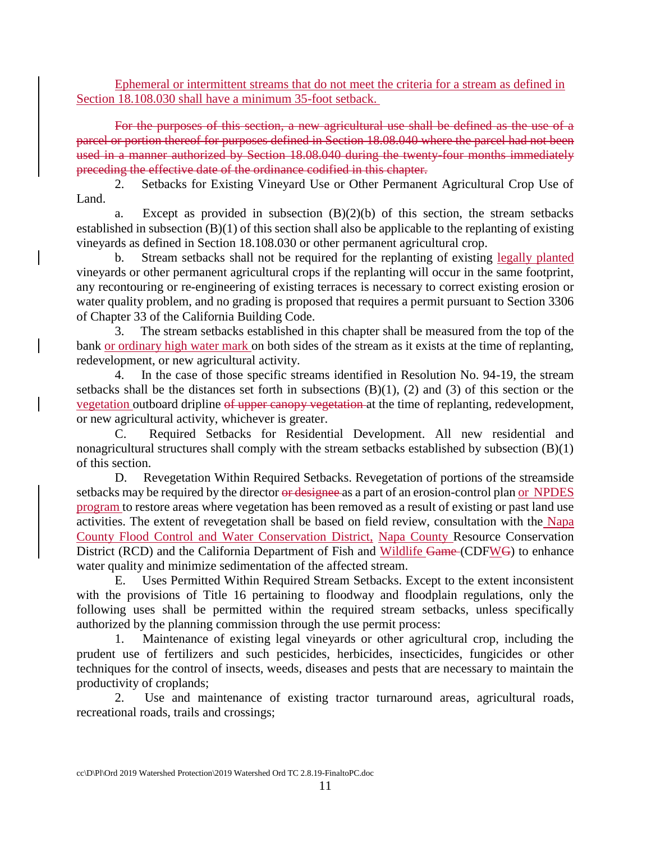Ephemeral or intermittent streams that do not meet the criteria for a stream as defined in Section 18.108.030 shall have a minimum 35-foot setback.

For the purposes of this section, a new agricultural use shall be defined as the use of a parcel or portion thereof for purposes defined in Section 18.08.040 where the parcel had not been used in a manner authorized by Section 18.08.040 during the twenty-four months immediately preceding the effective date of the ordinance codified in this chapter.

2. Setbacks for Existing Vineyard Use or Other Permanent Agricultural Crop Use of Land.

a. Except as provided in subsection  $(B)(2)(b)$  of this section, the stream setbacks established in subsection (B)(1) of this section shall also be applicable to the replanting of existing vineyards as defined in Section 18.108.030 or other permanent agricultural crop.

b. Stream setbacks shall not be required for the replanting of existing legally planted vineyards or other permanent agricultural crops if the replanting will occur in the same footprint, any recontouring or re-engineering of existing terraces is necessary to correct existing erosion or water quality problem, and no grading is proposed that requires a permit pursuant to Section 3306 of Chapter 33 of the California Building Code.

3. The stream setbacks established in this chapter shall be measured from the top of the bank or ordinary high water mark on both sides of the stream as it exists at the time of replanting, redevelopment, or new agricultural activity.

4. In the case of those specific streams identified in Resolution No. 94-19, the stream setbacks shall be the distances set forth in subsections (B)(1), (2) and (3) of this section or the vegetation outboard dripline of upper canopy vegetation at the time of replanting, redevelopment, or new agricultural activity, whichever is greater.

C. Required Setbacks for Residential Development. All new residential and nonagricultural structures shall comply with the stream setbacks established by subsection (B)(1) of this section.

D. Revegetation Within Required Setbacks. Revegetation of portions of the streamside setbacks may be required by the director or designee as a part of an erosion-control plan or NPDES program to restore areas where vegetation has been removed as a result of existing or past land use activities. The extent of revegetation shall be based on field review, consultation with the Napa County Flood Control and Water Conservation District, Napa County Resource Conservation District (RCD) and the California Department of Fish and Wildlife Game (CDFWG) to enhance water quality and minimize sedimentation of the affected stream.

E. Uses Permitted Within Required Stream Setbacks. Except to the extent inconsistent with the provisions of Title 16 pertaining to floodway and floodplain regulations, only the following uses shall be permitted within the required stream setbacks, unless specifically authorized by the planning commission through the use permit process:

1. Maintenance of existing legal vineyards or other agricultural crop, including the prudent use of fertilizers and such pesticides, herbicides, insecticides, fungicides or other techniques for the control of insects, weeds, diseases and pests that are necessary to maintain the productivity of croplands;

2. Use and maintenance of existing tractor turnaround areas, agricultural roads, recreational roads, trails and crossings;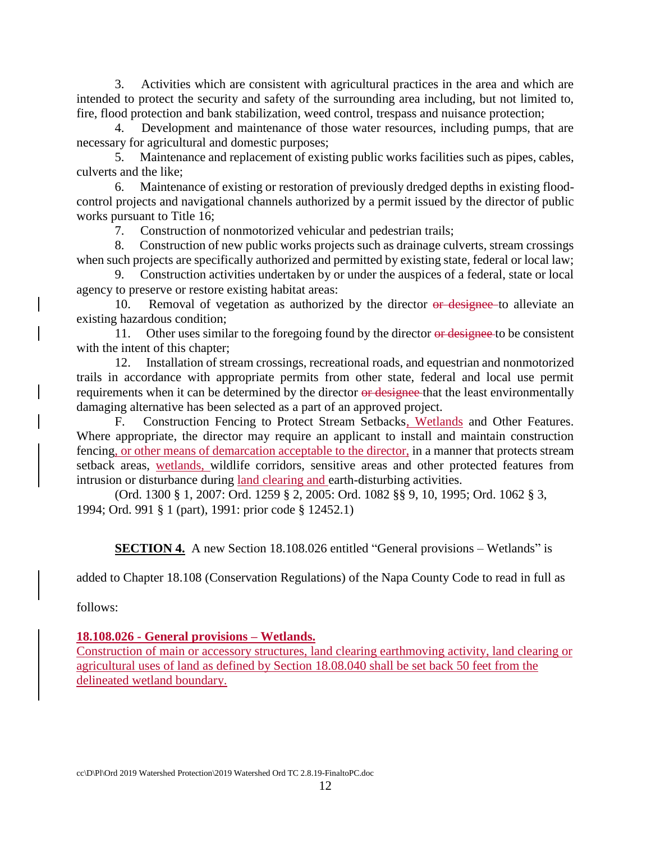3. Activities which are consistent with agricultural practices in the area and which are intended to protect the security and safety of the surrounding area including, but not limited to, fire, flood protection and bank stabilization, weed control, trespass and nuisance protection;

Development and maintenance of those water resources, including pumps, that are necessary for agricultural and domestic purposes;

5. Maintenance and replacement of existing public works facilities such as pipes, cables, culverts and the like;

6. Maintenance of existing or restoration of previously dredged depths in existing floodcontrol projects and navigational channels authorized by a permit issued by the director of public works pursuant to Title 16;

7. Construction of nonmotorized vehicular and pedestrian trails;

8. Construction of new public works projects such as drainage culverts, stream crossings when such projects are specifically authorized and permitted by existing state, federal or local law;

9. Construction activities undertaken by or under the auspices of a federal, state or local agency to preserve or restore existing habitat areas:

10. Removal of vegetation as authorized by the director or designee to alleviate an existing hazardous condition;

11. Other uses similar to the foregoing found by the director or designee to be consistent with the intent of this chapter:

12. Installation of stream crossings, recreational roads, and equestrian and nonmotorized trails in accordance with appropriate permits from other state, federal and local use permit requirements when it can be determined by the director or designee that the least environmentally damaging alternative has been selected as a part of an approved project.

F. Construction Fencing to Protect Stream Setbacks, Wetlands and Other Features. Where appropriate, the director may require an applicant to install and maintain construction fencing, or other means of demarcation acceptable to the director, in a manner that protects stream setback areas, wetlands, wildlife corridors, sensitive areas and other protected features from intrusion or disturbance during land clearing and earth-disturbing activities.

(Ord. 1300 § 1, 2007: Ord. 1259 § 2, 2005: Ord. 1082 §§ 9, 10, 1995; Ord. 1062 § 3, 1994; Ord. 991 § 1 (part), 1991: prior code § 12452.1)

**SECTION 4.** A new Section 18.108.026 entitled "General provisions – Wetlands" is

added to Chapter 18.108 (Conservation Regulations) of the Napa County Code to read in full as

follows:

### **18.108.026 - General provisions – Wetlands.**

Construction of main or accessory structures, land clearing earthmoving activity, land clearing or agricultural uses of land as defined by Section 18.08.040 shall be set back 50 feet from the delineated wetland boundary.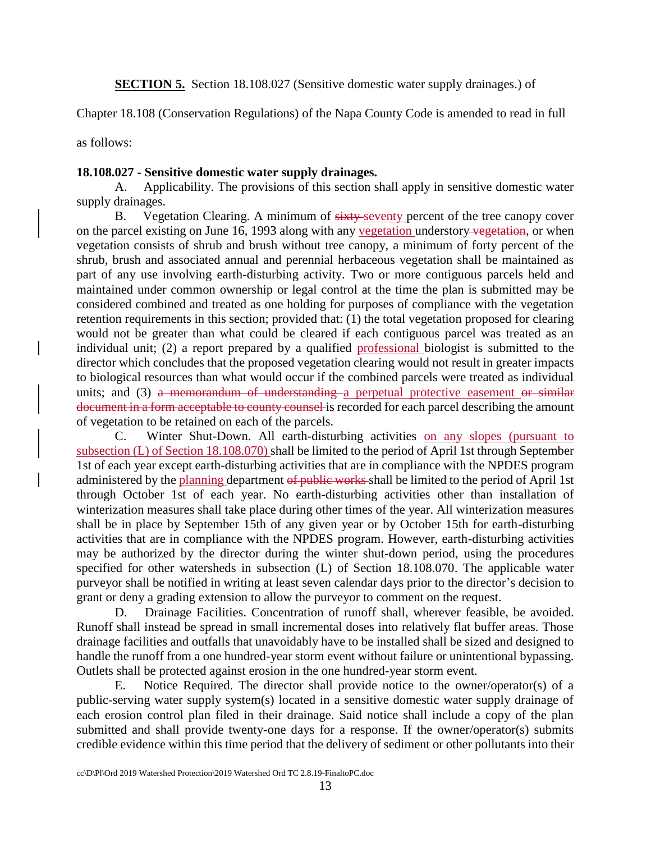**SECTION 5.** Section 18.108.027 (Sensitive domestic water supply drainages.) of

Chapter 18.108 (Conservation Regulations) of the Napa County Code is amended to read in full

as follows:

### **18.108.027 - Sensitive domestic water supply drainages.**

A. Applicability. The provisions of this section shall apply in sensitive domestic water supply drainages.

B. Vegetation Clearing. A minimum of sixty-seventy percent of the tree canopy cover on the parcel existing on June 16, 1993 along with any vegetation understory vegetation, or when vegetation consists of shrub and brush without tree canopy, a minimum of forty percent of the shrub, brush and associated annual and perennial herbaceous vegetation shall be maintained as part of any use involving earth-disturbing activity. Two or more contiguous parcels held and maintained under common ownership or legal control at the time the plan is submitted may be considered combined and treated as one holding for purposes of compliance with the vegetation retention requirements in this section; provided that: (1) the total vegetation proposed for clearing would not be greater than what could be cleared if each contiguous parcel was treated as an individual unit; (2) a report prepared by a qualified professional biologist is submitted to the director which concludes that the proposed vegetation clearing would not result in greater impacts to biological resources than what would occur if the combined parcels were treated as individual units; and (3) a memorandum of understanding a perpetual protective easement or similar document in a form acceptable to county counsel is recorded for each parcel describing the amount of vegetation to be retained on each of the parcels.

C. Winter Shut-Down. All earth-disturbing activities on any slopes (pursuant to subsection (L) of Section 18.108.070) shall be limited to the period of April 1st through September 1st of each year except earth-disturbing activities that are in compliance with the NPDES program administered by the planning department of public works shall be limited to the period of April 1st through October 1st of each year. No earth-disturbing activities other than installation of winterization measures shall take place during other times of the year. All winterization measures shall be in place by September 15th of any given year or by October 15th for earth-disturbing activities that are in compliance with the NPDES program. However, earth-disturbing activities may be authorized by the director during the winter shut-down period, using the procedures specified for other watersheds in subsection (L) of Section 18.108.070. The applicable water purveyor shall be notified in writing at least seven calendar days prior to the director's decision to grant or deny a grading extension to allow the purveyor to comment on the request.

D. Drainage Facilities. Concentration of runoff shall, wherever feasible, be avoided. Runoff shall instead be spread in small incremental doses into relatively flat buffer areas. Those drainage facilities and outfalls that unavoidably have to be installed shall be sized and designed to handle the runoff from a one hundred-year storm event without failure or unintentional bypassing. Outlets shall be protected against erosion in the one hundred-year storm event.

E. Notice Required. The director shall provide notice to the owner/operator(s) of a public-serving water supply system(s) located in a sensitive domestic water supply drainage of each erosion control plan filed in their drainage. Said notice shall include a copy of the plan submitted and shall provide twenty-one days for a response. If the owner/operator(s) submits credible evidence within this time period that the delivery of sediment or other pollutants into their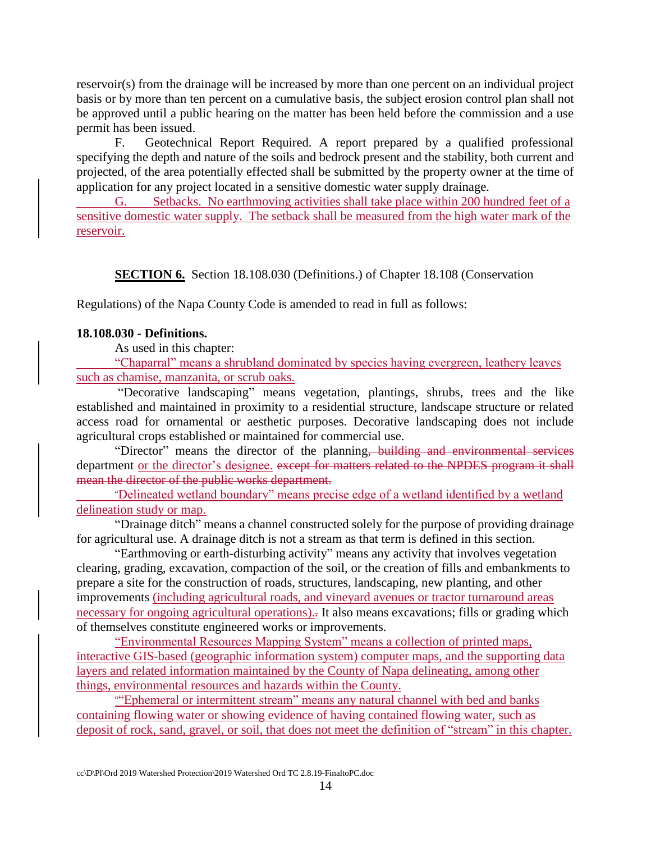reservoir(s) from the drainage will be increased by more than one percent on an individual project basis or by more than ten percent on a cumulative basis, the subject erosion control plan shall not be approved until a public hearing on the matter has been held before the commission and a use permit has been issued.

F. Geotechnical Report Required. A report prepared by a qualified professional specifying the depth and nature of the soils and bedrock present and the stability, both current and projected, of the area potentially effected shall be submitted by the property owner at the time of application for any project located in a sensitive domestic water supply drainage.

G. Setbacks. No earthmoving activities shall take place within 200 hundred feet of a sensitive domestic water supply. The setback shall be measured from the high water mark of the reservoir.

**SECTION 6.** Section 18.108.030 (Definitions.) of Chapter 18.108 (Conservation

Regulations) of the Napa County Code is amended to read in full as follows:

### **18.108.030 - Definitions.**

As used in this chapter:

"Chaparral" means a shrubland dominated by species having evergreen, leathery leaves such as chamise, manzanita, or scrub oaks.

"Decorative landscaping" means vegetation, plantings, shrubs, trees and the like established and maintained in proximity to a residential structure, landscape structure or related access road for ornamental or aesthetic purposes. Decorative landscaping does not include agricultural crops established or maintained for commercial use.

"Director" means the director of the planning, building and environmental services department or the director's designee. except for matters related to the NPDES program it shall mean the director of the public works department.

"Delineated wetland boundary" means precise edge of a wetland identified by a wetland delineation study or map.

"Drainage ditch" means a channel constructed solely for the purpose of providing drainage for agricultural use. A drainage ditch is not a stream as that term is defined in this section.

"Earthmoving or earth-disturbing activity" means any activity that involves vegetation clearing, grading, excavation, compaction of the soil, or the creation of fills and embankments to prepare a site for the construction of roads, structures, landscaping, new planting, and other improvements (including agricultural roads, and vineyard avenues or tractor turnaround areas necessary for ongoing agricultural operations)... It also means excavations; fills or grading which of themselves constitute engineered works or improvements.

"Environmental Resources Mapping System" means a collection of printed maps, interactive GIS-based (geographic information system) computer maps, and the supporting data layers and related information maintained by the County of Napa delineating, among other things, environmental resources and hazards within the County.

""Ephemeral or intermittent stream" means any natural channel with bed and banks containing flowing water or showing evidence of having contained flowing water, such as deposit of rock, sand, gravel, or soil, that does not meet the definition of "stream" in this chapter.

cc\D\Pl\Ord 2019 Watershed Protection\2019 Watershed Ord TC 2.8.19-FinaltoPC.doc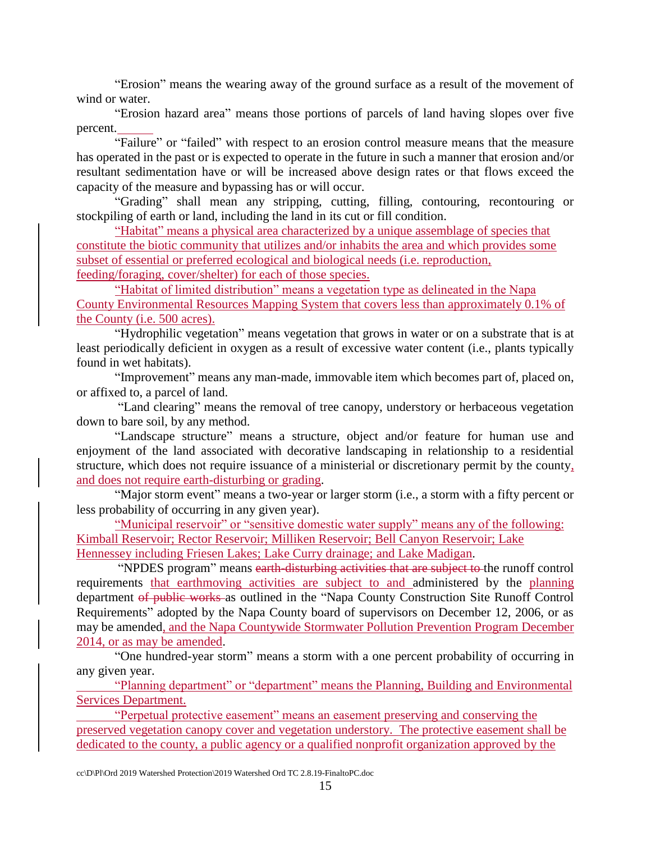"Erosion" means the wearing away of the ground surface as a result of the movement of wind or water.

"Erosion hazard area" means those portions of parcels of land having slopes over five percent.

"Failure" or "failed" with respect to an erosion control measure means that the measure has operated in the past or is expected to operate in the future in such a manner that erosion and/or resultant sedimentation have or will be increased above design rates or that flows exceed the capacity of the measure and bypassing has or will occur.

"Grading" shall mean any stripping, cutting, filling, contouring, recontouring or stockpiling of earth or land, including the land in its cut or fill condition.

"Habitat" means a physical area characterized by a unique assemblage of species that constitute the biotic community that utilizes and/or inhabits the area and which provides some subset of essential or preferred ecological and biological needs (i.e. reproduction, feeding/foraging, cover/shelter) for each of those species.

"Habitat of limited distribution" means a vegetation type as delineated in the Napa County Environmental Resources Mapping System that covers less than approximately 0.1% of the County (i.e. 500 acres).

"Hydrophilic vegetation" means vegetation that grows in water or on a substrate that is at least periodically deficient in oxygen as a result of excessive water content (i.e., plants typically found in wet habitats).

"Improvement" means any man-made, immovable item which becomes part of, placed on, or affixed to, a parcel of land.

"Land clearing" means the removal of tree canopy, understory or herbaceous vegetation down to bare soil, by any method.

"Landscape structure" means a structure, object and/or feature for human use and enjoyment of the land associated with decorative landscaping in relationship to a residential structure, which does not require issuance of a ministerial or discretionary permit by the county, and does not require earth-disturbing or grading.

"Major storm event" means a two-year or larger storm (i.e., a storm with a fifty percent or less probability of occurring in any given year).

"Municipal reservoir" or "sensitive domestic water supply" means any of the following: Kimball Reservoir; Rector Reservoir; Milliken Reservoir; Bell Canyon Reservoir; Lake Hennessey including Friesen Lakes; Lake Curry drainage; and Lake Madigan.

"NPDES program" means earth-disturbing activities that are subject to the runoff control requirements that earthmoving activities are subject to and administered by the planning department of public works as outlined in the "Napa County Construction Site Runoff Control Requirements" adopted by the Napa County board of supervisors on December 12, 2006, or as may be amended, and the Napa Countywide Stormwater Pollution Prevention Program December 2014, or as may be amended.

"One hundred-year storm" means a storm with a one percent probability of occurring in any given year.

"Planning department" or "department" means the Planning, Building and Environmental Services Department.

"Perpetual protective easement" means an easement preserving and conserving the preserved vegetation canopy cover and vegetation understory. The protective easement shall be dedicated to the county, a public agency or a qualified nonprofit organization approved by the

cc\D\Pl\Ord 2019 Watershed Protection\2019 Watershed Ord TC 2.8.19-FinaltoPC.doc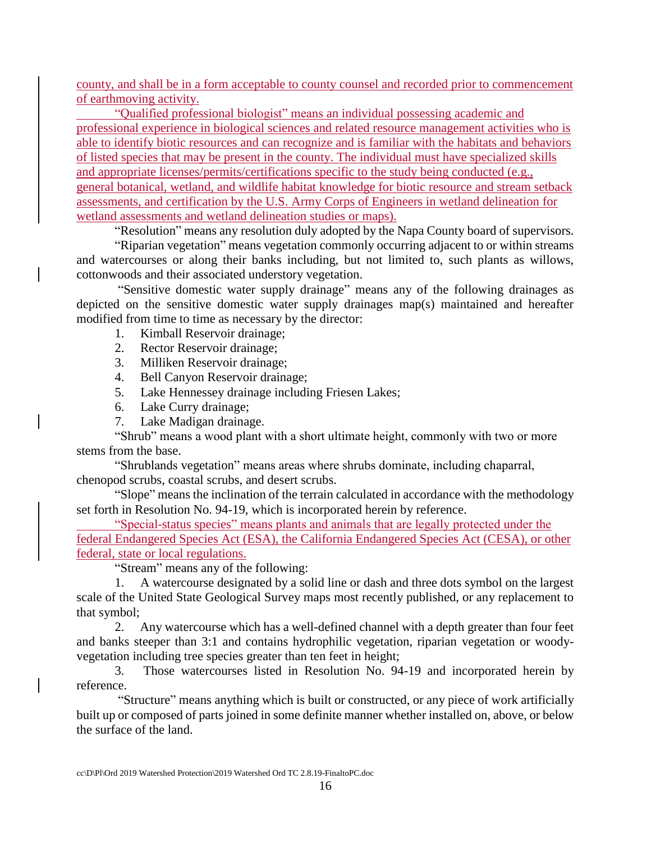county, and shall be in a form acceptable to county counsel and recorded prior to commencement of earthmoving activity.

"Qualified professional biologist" means an individual possessing academic and professional experience in biological sciences and related resource management activities who is able to identify biotic resources and can recognize and is familiar with the habitats and behaviors of listed species that may be present in the county. The individual must have specialized skills and appropriate licenses/permits/certifications specific to the study being conducted (e.g., general botanical, wetland, and wildlife habitat knowledge for biotic resource and stream setback assessments, and certification by the U.S. Army Corps of Engineers in wetland delineation for wetland assessments and wetland delineation studies or maps).

"Resolution" means any resolution duly adopted by the Napa County board of supervisors.

"Riparian vegetation" means vegetation commonly occurring adjacent to or within streams and watercourses or along their banks including, but not limited to, such plants as willows, cottonwoods and their associated understory vegetation.

"Sensitive domestic water supply drainage" means any of the following drainages as depicted on the sensitive domestic water supply drainages map(s) maintained and hereafter modified from time to time as necessary by the director:

- 1. Kimball Reservoir drainage;
- 2. Rector Reservoir drainage;
- 3. Milliken Reservoir drainage;
- 4. Bell Canyon Reservoir drainage;
- 5. Lake Hennessey drainage including Friesen Lakes;
- 6. Lake Curry drainage;
- 7. Lake Madigan drainage.

"Shrub" means a wood plant with a short ultimate height, commonly with two or more stems from the base.

"Shrublands vegetation" means areas where shrubs dominate, including chaparral, chenopod scrubs, coastal scrubs, and desert scrubs.

"Slope" means the inclination of the terrain calculated in accordance with the methodology set forth in Resolution No. 94-19, which is incorporated herein by reference.

"Special-status species" means plants and animals that are legally protected under the federal Endangered Species Act (ESA), the California Endangered Species Act (CESA), or other federal, state or local regulations.

"Stream" means any of the following:

1. A watercourse designated by a solid line or dash and three dots symbol on the largest scale of the United State Geological Survey maps most recently published, or any replacement to that symbol;

2. Any watercourse which has a well-defined channel with a depth greater than four feet and banks steeper than 3:1 and contains hydrophilic vegetation, riparian vegetation or woodyvegetation including tree species greater than ten feet in height;

3. Those watercourses listed in Resolution No. 94-19 and incorporated herein by reference.

"Structure" means anything which is built or constructed, or any piece of work artificially built up or composed of parts joined in some definite manner whether installed on, above, or below the surface of the land.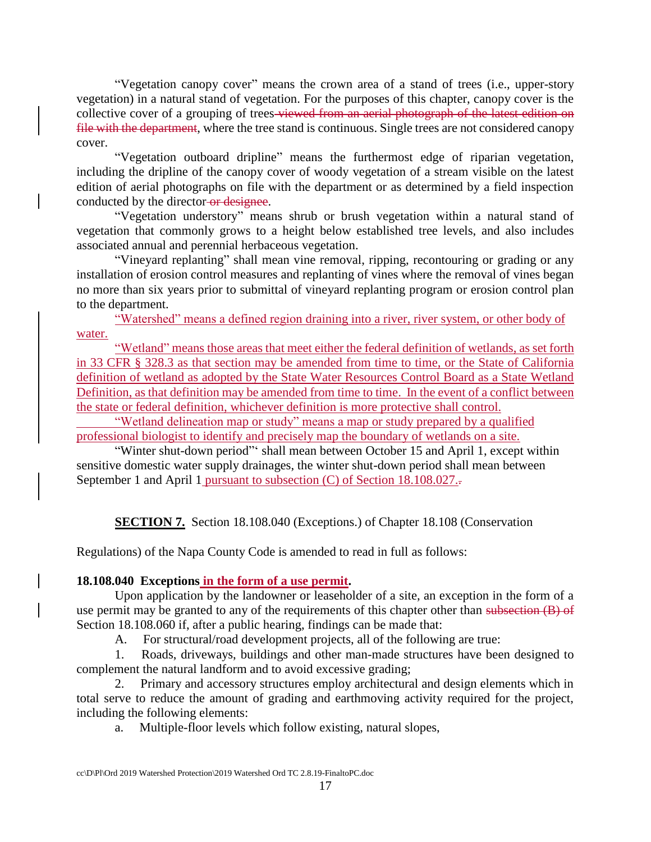"Vegetation canopy cover" means the crown area of a stand of trees (i.e., upper-story vegetation) in a natural stand of vegetation. For the purposes of this chapter, canopy cover is the collective cover of a grouping of trees viewed from an aerial photograph of the latest edition on file with the department, where the tree stand is continuous. Single trees are not considered canopy cover.

"Vegetation outboard dripline" means the furthermost edge of riparian vegetation, including the dripline of the canopy cover of woody vegetation of a stream visible on the latest edition of aerial photographs on file with the department or as determined by a field inspection conducted by the director-or designee.

"Vegetation understory" means shrub or brush vegetation within a natural stand of vegetation that commonly grows to a height below established tree levels, and also includes associated annual and perennial herbaceous vegetation.

"Vineyard replanting" shall mean vine removal, ripping, recontouring or grading or any installation of erosion control measures and replanting of vines where the removal of vines began no more than six years prior to submittal of vineyard replanting program or erosion control plan to the department.

"Watershed" means a defined region draining into a river, river system, or other body of water.

"Wetland" means those areas that meet either the federal definition of wetlands, as set forth in 33 CFR § 328.3 as that section may be amended from time to time, or the State of California definition of wetland as adopted by the State Water Resources Control Board as a State Wetland Definition, as that definition may be amended from time to time. In the event of a conflict between the state or federal definition, whichever definition is more protective shall control.

"Wetland delineation map or study" means a map or study prepared by a qualified professional biologist to identify and precisely map the boundary of wetlands on a site.

"Winter shut-down period"' shall mean between October 15 and April 1, except within sensitive domestic water supply drainages, the winter shut-down period shall mean between September 1 and April 1 pursuant to subsection (C) of Section 18.108.027.

**SECTION 7.** Section 18.108.040 (Exceptions.) of Chapter 18.108 (Conservation

Regulations) of the Napa County Code is amended to read in full as follows:

## **18.108.040 Exceptions in the form of a use permit.**

Upon application by the landowner or leaseholder of a site, an exception in the form of a use permit may be granted to any of the requirements of this chapter other than subsection (B) of Section 18.108.060 if, after a public hearing, findings can be made that:

A. For structural/road development projects, all of the following are true:

1. Roads, driveways, buildings and other man-made structures have been designed to complement the natural landform and to avoid excessive grading;

2. Primary and accessory structures employ architectural and design elements which in total serve to reduce the amount of grading and earthmoving activity required for the project, including the following elements:

a. Multiple-floor levels which follow existing, natural slopes,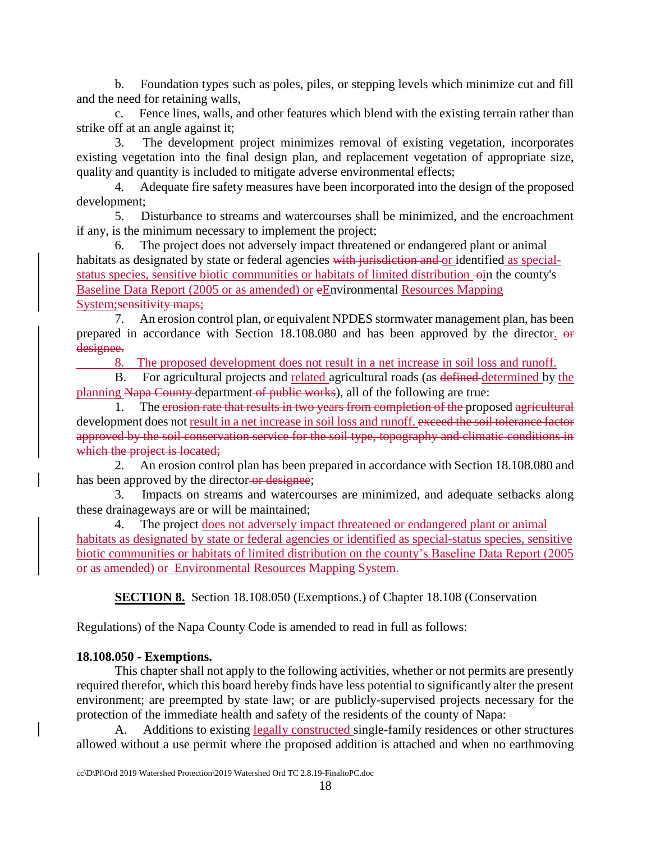b. Foundation types such as poles, piles, or stepping levels which minimize cut and fill and the need for retaining walls,

c. Fence lines, walls, and other features which blend with the existing terrain rather than strike off at an angle against it;

3. The development project minimizes removal of existing vegetation, incorporates existing vegetation into the final design plan, and replacement vegetation of appropriate size, quality and quantity is included to mitigate adverse environmental effects;

4. Adequate fire safety measures have been incorporated into the design of the proposed development;

5. Disturbance to streams and watercourses shall be minimized, and the encroachment if any, is the minimum necessary to implement the project;

6. The project does not adversely impact threatened or endangered plant or animal habitats as designated by state or federal agencies with jurisdiction and or identified as specialstatus species, sensitive biotic communities or habitats of limited distribution  $\rightarrow$  in the county's Baseline Data Report (2005 or as amended) or eEnvironmental Resources Mapping System; sensitivity maps;

7. An erosion control plan, or equivalent NPDES stormwater management plan, has been prepared in accordance with Section 18.108.080 and has been approved by the director. or designee.

8. The proposed development does not result in a net increase in soil loss and runoff.

B. For agricultural projects and related agricultural roads (as defined determined by the planning Napa County department of public works), all of the following are true:

1. The erosion rate that results in two years from completion of the proposed agricultural development does not result in a net increase in soil loss and runoff. exceed the soil tolerance factor approved by the soil conservation service for the soil type, topography and climatic conditions in which the project is located;

2. An erosion control plan has been prepared in accordance with Section 18.108.080 and has been approved by the director-or designee;

3. Impacts on streams and watercourses are minimized, and adequate setbacks along these drainageways are or will be maintained;

4. The project does not adversely impact threatened or endangered plant or animal habitats as designated by state or federal agencies or identified as special-status species, sensitive biotic communities or habitats of limited distribution on the county's Baseline Data Report (2005 or as amended) or Environmental Resources Mapping System.

**SECTION 8.** Section 18.108.050 (Exemptions.) of Chapter 18.108 (Conservation

Regulations) of the Napa County Code is amended to read in full as follows:

### **18.108.050 - Exemptions.**

This chapter shall not apply to the following activities, whether or not permits are presently required therefor, which this board hereby finds have less potential to significantly alter the present environment; are preempted by state law; or are publicly-supervised projects necessary for the protection of the immediate health and safety of the residents of the county of Napa:

Additions to existing legally constructed single-family residences or other structures allowed without a use permit where the proposed addition is attached and when no earthmoving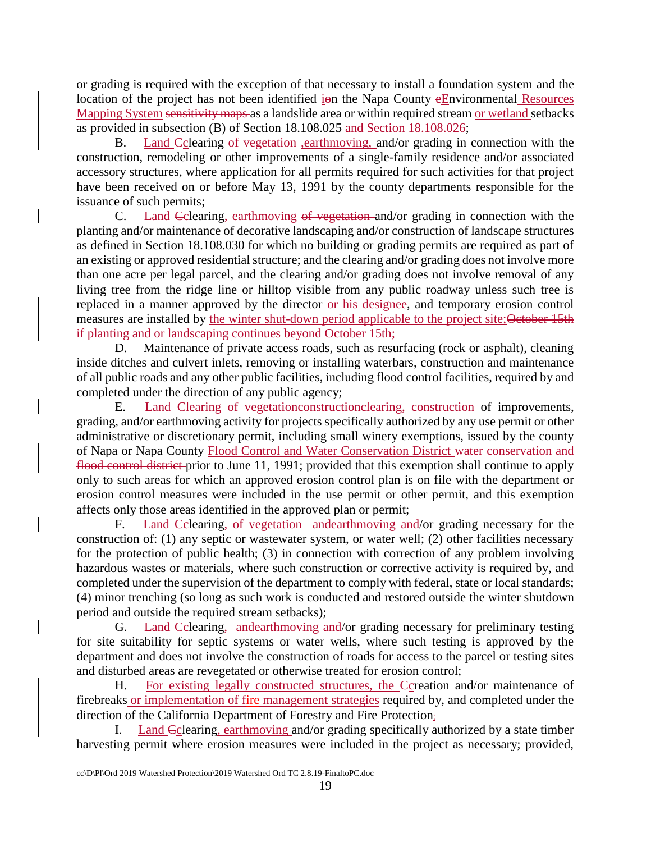or grading is required with the exception of that necessary to install a foundation system and the location of the project has not been identified  $\frac{1}{2}$  ion the Napa County  $\frac{1}{2}$  Environmental Resources Mapping System sensitivity maps as a landslide area or within required stream or wetland setbacks as provided in subsection (B) of Section 18.108.025 and Section 18.108.026;

B. Land Colearing of vegetation-,earthmoving, and/or grading in connection with the construction, remodeling or other improvements of a single-family residence and/or associated accessory structures, where application for all permits required for such activities for that project have been received on or before May 13, 1991 by the county departments responsible for the issuance of such permits;

C. Land Cclearing, earthmoving of vegetation and/or grading in connection with the planting and/or maintenance of decorative landscaping and/or construction of landscape structures as defined in Section 18.108.030 for which no building or grading permits are required as part of an existing or approved residential structure; and the clearing and/or grading does not involve more than one acre per legal parcel, and the clearing and/or grading does not involve removal of any living tree from the ridge line or hilltop visible from any public roadway unless such tree is replaced in a manner approved by the director-or his designee, and temporary erosion control measures are installed by the winter shut-down period applicable to the project site; October 15th if planting and or landscaping continues beyond October 15th;

D. Maintenance of private access roads, such as resurfacing (rock or asphalt), cleaning inside ditches and culvert inlets, removing or installing waterbars, construction and maintenance of all public roads and any other public facilities, including flood control facilities, required by and completed under the direction of any public agency;

E. Land Clearing of vegetationconstructionclearing, construction of improvements, grading, and/or earthmoving activity for projects specifically authorized by any use permit or other administrative or discretionary permit, including small winery exemptions, issued by the county of Napa or Napa County Flood Control and Water Conservation District water conservation and flood control district prior to June 11, 1991; provided that this exemption shall continue to apply only to such areas for which an approved erosion control plan is on file with the department or erosion control measures were included in the use permit or other permit, and this exemption affects only those areas identified in the approved plan or permit;

F. Land Colearing, of vegetation -andearthmoving and/or grading necessary for the construction of: (1) any septic or wastewater system, or water well; (2) other facilities necessary for the protection of public health; (3) in connection with correction of any problem involving hazardous wastes or materials, where such construction or corrective activity is required by, and completed under the supervision of the department to comply with federal, state or local standards; (4) minor trenching (so long as such work is conducted and restored outside the winter shutdown period and outside the required stream setbacks);

G. Land Eclearing, and earthmoving and/or grading necessary for preliminary testing for site suitability for septic systems or water wells, where such testing is approved by the department and does not involve the construction of roads for access to the parcel or testing sites and disturbed areas are revegetated or otherwise treated for erosion control;

H. For existing legally constructed structures, the Ccreation and/or maintenance of firebreaks or implementation of fire management strategies required by, and completed under the direction of the California Department of Forestry and Fire Protection;

Land Cclearing, earthmoving and/or grading specifically authorized by a state timber harvesting permit where erosion measures were included in the project as necessary; provided,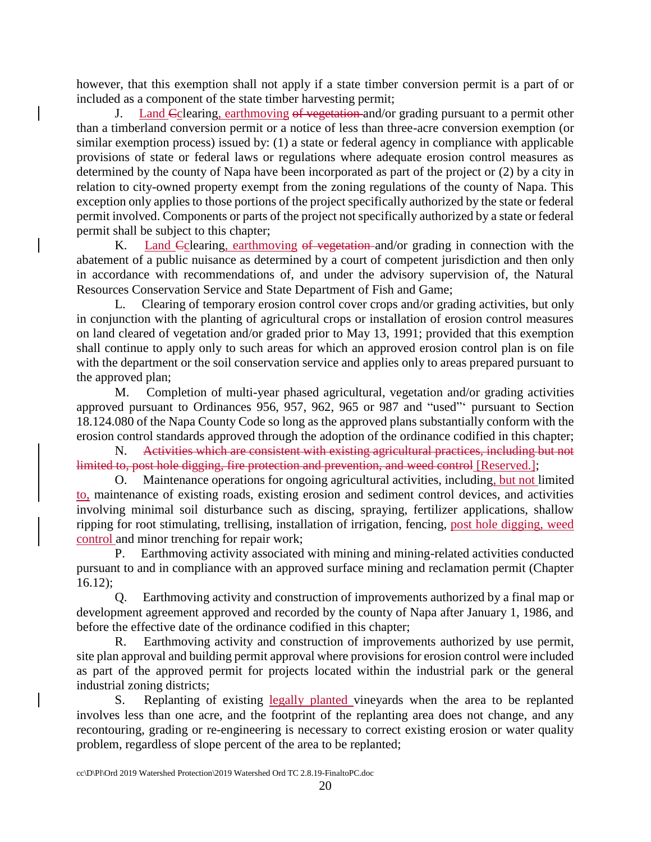however, that this exemption shall not apply if a state timber conversion permit is a part of or included as a component of the state timber harvesting permit;

J. Land Cclearing, earthmoving of vegetation and/or grading pursuant to a permit other than a timberland conversion permit or a notice of less than three-acre conversion exemption (or similar exemption process) issued by: (1) a state or federal agency in compliance with applicable provisions of state or federal laws or regulations where adequate erosion control measures as determined by the county of Napa have been incorporated as part of the project or (2) by a city in relation to city-owned property exempt from the zoning regulations of the county of Napa. This exception only applies to those portions of the project specifically authorized by the state or federal permit involved. Components or parts of the project not specifically authorized by a state or federal permit shall be subject to this chapter;

K. Land Eclearing, earthmoving of vegetation and/or grading in connection with the abatement of a public nuisance as determined by a court of competent jurisdiction and then only in accordance with recommendations of, and under the advisory supervision of, the Natural Resources Conservation Service and State Department of Fish and Game;

L. Clearing of temporary erosion control cover crops and/or grading activities, but only in conjunction with the planting of agricultural crops or installation of erosion control measures on land cleared of vegetation and/or graded prior to May 13, 1991; provided that this exemption shall continue to apply only to such areas for which an approved erosion control plan is on file with the department or the soil conservation service and applies only to areas prepared pursuant to the approved plan;

M. Completion of multi-year phased agricultural, vegetation and/or grading activities approved pursuant to Ordinances 956, 957, 962, 965 or 987 and "used"' pursuant to Section 18.124.080 of the Napa County Code so long as the approved plans substantially conform with the erosion control standards approved through the adoption of the ordinance codified in this chapter;

N. Activities which are consistent with existing agricultural practices, including but not limited to, post hole digging, fire protection and prevention, and weed control [Reserved.];

O. Maintenance operations for ongoing agricultural activities, including, but not limited to, maintenance of existing roads, existing erosion and sediment control devices, and activities involving minimal soil disturbance such as discing, spraying, fertilizer applications, shallow ripping for root stimulating, trellising, installation of irrigation, fencing, post hole digging, weed control and minor trenching for repair work;

P. Earthmoving activity associated with mining and mining-related activities conducted pursuant to and in compliance with an approved surface mining and reclamation permit (Chapter 16.12);

Q. Earthmoving activity and construction of improvements authorized by a final map or development agreement approved and recorded by the county of Napa after January 1, 1986, and before the effective date of the ordinance codified in this chapter;

R. Earthmoving activity and construction of improvements authorized by use permit, site plan approval and building permit approval where provisions for erosion control were included as part of the approved permit for projects located within the industrial park or the general industrial zoning districts;

S. Replanting of existing legally planted vineyards when the area to be replanted involves less than one acre, and the footprint of the replanting area does not change, and any recontouring, grading or re-engineering is necessary to correct existing erosion or water quality problem, regardless of slope percent of the area to be replanted;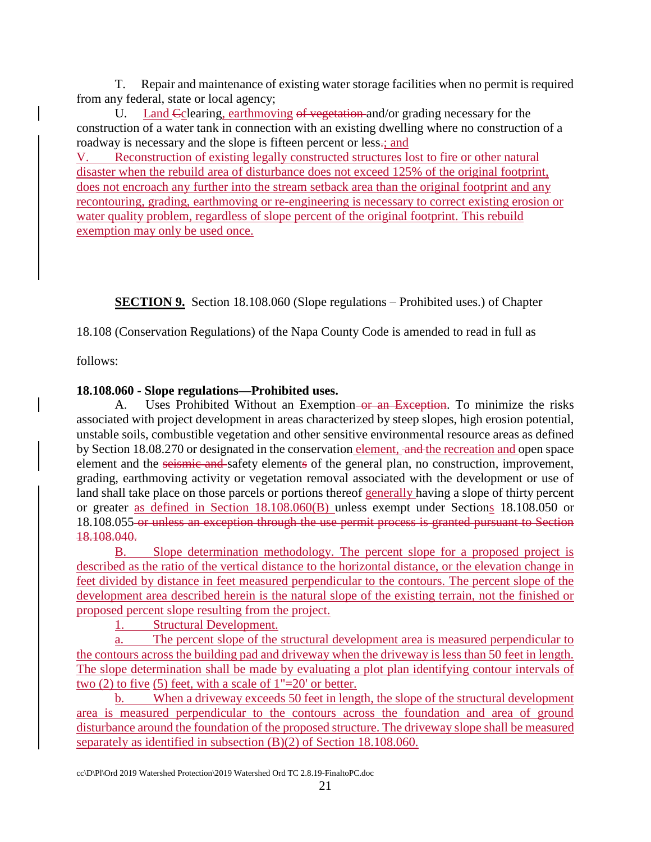T. Repair and maintenance of existing water storage facilities when no permit is required from any federal, state or local agency;

U. Land Colearing, earthmoving of vegetation and/or grading necessary for the construction of a water tank in connection with an existing dwelling where no construction of a roadway is necessary and the slope is fifteen percent or less.; and

V. Reconstruction of existing legally constructed structures lost to fire or other natural disaster when the rebuild area of disturbance does not exceed 125% of the original footprint, does not encroach any further into the stream setback area than the original footprint and any recontouring, grading, earthmoving or re-engineering is necessary to correct existing erosion or water quality problem, regardless of slope percent of the original footprint. This rebuild exemption may only be used once.

**SECTION 9.** Section 18.108.060 (Slope regulations – Prohibited uses.) of Chapter

18.108 (Conservation Regulations) of the Napa County Code is amended to read in full as

follows:

# **18.108.060 - Slope regulations—Prohibited uses.**

A. Uses Prohibited Without an Exemption–or an Exception. To minimize the risks associated with project development in areas characterized by steep slopes, high erosion potential, unstable soils, combustible vegetation and other sensitive environmental resource areas as defined by Section 18.08.270 or designated in the conservation element, and the recreation and open space element and the seismic and safety elements of the general plan, no construction, improvement, grading, earthmoving activity or vegetation removal associated with the development or use of land shall take place on those parcels or portions thereof generally having a slope of thirty percent or greater as defined in Section 18.108.060(B) unless exempt under Sections 18.108.050 or 18.108.055 or unless an exception through the use permit process is granted pursuant to Section 18.108.040.

B. Slope determination methodology. The percent slope for a proposed project is described as the ratio of the vertical distance to the horizontal distance, or the elevation change in feet divided by distance in feet measured perpendicular to the contours. The percent slope of the development area described herein is the natural slope of the existing terrain, not the finished or proposed percent slope resulting from the project.

1. Structural Development.

a. The percent slope of the structural development area is measured perpendicular to the contours across the building pad and driveway when the driveway is less than 50 feet in length. The slope determination shall be made by evaluating a plot plan identifying contour intervals of two (2) to five (5) feet, with a scale of 1"=20' or better.

b. When a driveway exceeds 50 feet in length, the slope of the structural development area is measured perpendicular to the contours across the foundation and area of ground disturbance around the foundation of the proposed structure. The driveway slope shall be measured separately as identified in subsection (B)(2) of Section 18.108.060.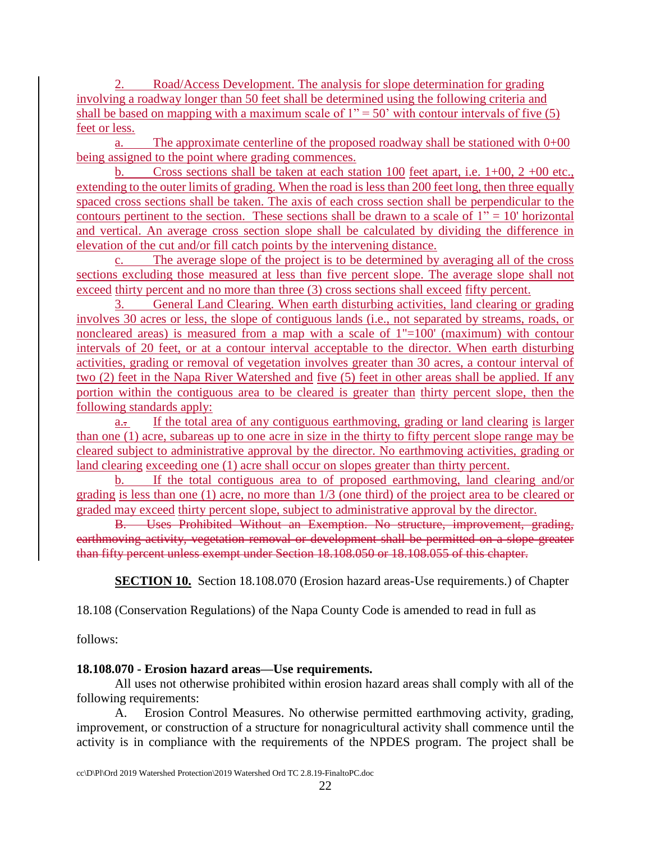2. Road/Access Development. The analysis for slope determination for grading involving a roadway longer than 50 feet shall be determined using the following criteria and shall be based on mapping with a maximum scale of  $1'' = 50'$  with contour intervals of five (5) feet or less.

a. The approximate centerline of the proposed roadway shall be stationed with  $0+00$ being assigned to the point where grading commences.

b. Cross sections shall be taken at each station 100 feet apart, i.e. 1+00, 2 +00 etc., extending to the outer limits of grading. When the road is less than 200 feet long, then three equally spaced cross sections shall be taken. The axis of each cross section shall be perpendicular to the contours pertinent to the section. These sections shall be drawn to a scale of  $1" = 10'$  horizontal and vertical. An average cross section slope shall be calculated by dividing the difference in elevation of the cut and/or fill catch points by the intervening distance.

c. The average slope of the project is to be determined by averaging all of the cross sections excluding those measured at less than five percent slope. The average slope shall not exceed thirty percent and no more than three (3) cross sections shall exceed fifty percent.

3. General Land Clearing. When earth disturbing activities, land clearing or grading involves 30 acres or less, the slope of contiguous lands (i.e., not separated by streams, roads, or noncleared areas) is measured from a map with a scale of 1"=100' (maximum) with contour intervals of 20 feet, or at a contour interval acceptable to the director. When earth disturbing activities, grading or removal of vegetation involves greater than 30 acres, a contour interval of two (2) feet in the Napa River Watershed and five (5) feet in other areas shall be applied. If any portion within the contiguous area to be cleared is greater than thirty percent slope, then the following standards apply:

a.. If the total area of any contiguous earthmoving, grading or land clearing is larger than one (1) acre, subareas up to one acre in size in the thirty to fifty percent slope range may be cleared subject to administrative approval by the director. No earthmoving activities, grading or land clearing exceeding one (1) acre shall occur on slopes greater than thirty percent.

b. If the total contiguous area to of proposed earthmoving, land clearing and/or grading is less than one (1) acre, no more than 1/3 (one third) of the project area to be cleared or graded may exceed thirty percent slope, subject to administrative approval by the director.

B. Uses Prohibited Without an Exemption. No structure, improvement, grading, earthmoving activity, vegetation removal or development shall be permitted on a slope greater than fifty percent unless exempt under Section 18.108.050 or 18.108.055 of this chapter.

**SECTION 10.** Section 18.108.070 (Erosion hazard areas-Use requirements.) of Chapter

18.108 (Conservation Regulations) of the Napa County Code is amended to read in full as

follows:

# **18.108.070 - Erosion hazard areas—Use requirements.**

All uses not otherwise prohibited within erosion hazard areas shall comply with all of the following requirements:

A. Erosion Control Measures. No otherwise permitted earthmoving activity, grading, improvement, or construction of a structure for nonagricultural activity shall commence until the activity is in compliance with the requirements of the NPDES program. The project shall be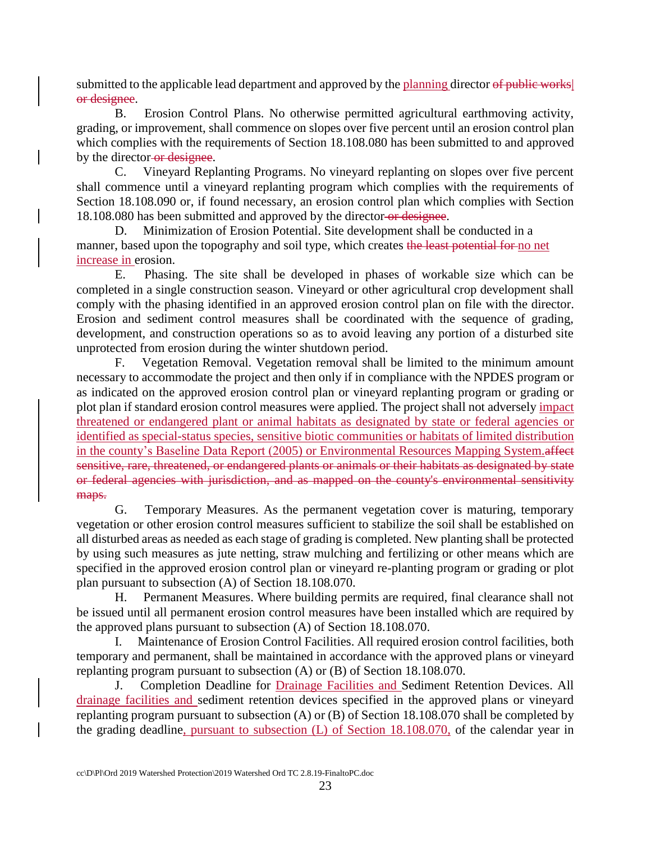submitted to the applicable lead department and approved by the planning director of public works or designee.

B. Erosion Control Plans. No otherwise permitted agricultural earthmoving activity, grading, or improvement, shall commence on slopes over five percent until an erosion control plan which complies with the requirements of Section 18.108.080 has been submitted to and approved by the director-or designee.

C. Vineyard Replanting Programs. No vineyard replanting on slopes over five percent shall commence until a vineyard replanting program which complies with the requirements of Section 18.108.090 or, if found necessary, an erosion control plan which complies with Section 18.108.080 has been submitted and approved by the director or designee.

D. Minimization of Erosion Potential. Site development shall be conducted in a manner, based upon the topography and soil type, which creates the least potential for no net increase in erosion.

E. Phasing. The site shall be developed in phases of workable size which can be completed in a single construction season. Vineyard or other agricultural crop development shall comply with the phasing identified in an approved erosion control plan on file with the director. Erosion and sediment control measures shall be coordinated with the sequence of grading, development, and construction operations so as to avoid leaving any portion of a disturbed site unprotected from erosion during the winter shutdown period.

F. Vegetation Removal. Vegetation removal shall be limited to the minimum amount necessary to accommodate the project and then only if in compliance with the NPDES program or as indicated on the approved erosion control plan or vineyard replanting program or grading or plot plan if standard erosion control measures were applied. The project shall not adversely impact threatened or endangered plant or animal habitats as designated by state or federal agencies or identified as special-status species, sensitive biotic communities or habitats of limited distribution in the county's Baseline Data Report (2005) or Environmental Resources Mapping System.affect sensitive, rare, threatened, or endangered plants or animals or their habitats as designated by state or federal agencies with jurisdiction, and as mapped on the county's environmental sensitivity maps.

G. Temporary Measures. As the permanent vegetation cover is maturing, temporary vegetation or other erosion control measures sufficient to stabilize the soil shall be established on all disturbed areas as needed as each stage of grading is completed. New planting shall be protected by using such measures as jute netting, straw mulching and fertilizing or other means which are specified in the approved erosion control plan or vineyard re-planting program or grading or plot plan pursuant to subsection (A) of Section 18.108.070.

H. Permanent Measures. Where building permits are required, final clearance shall not be issued until all permanent erosion control measures have been installed which are required by the approved plans pursuant to subsection (A) of Section 18.108.070.

I. Maintenance of Erosion Control Facilities. All required erosion control facilities, both temporary and permanent, shall be maintained in accordance with the approved plans or vineyard replanting program pursuant to subsection (A) or (B) of Section 18.108.070.

J. Completion Deadline for Drainage Facilities and Sediment Retention Devices. All drainage facilities and sediment retention devices specified in the approved plans or vineyard replanting program pursuant to subsection (A) or (B) of Section 18.108.070 shall be completed by the grading deadline, pursuant to subsection (L) of Section 18.108.070, of the calendar year in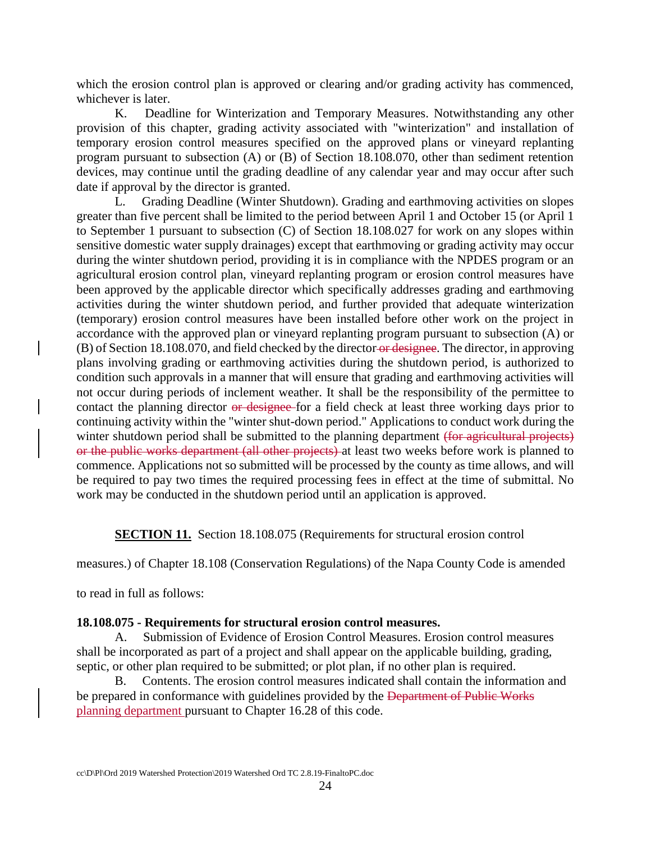which the erosion control plan is approved or clearing and/or grading activity has commenced, whichever is later.

K. Deadline for Winterization and Temporary Measures. Notwithstanding any other provision of this chapter, grading activity associated with "winterization" and installation of temporary erosion control measures specified on the approved plans or vineyard replanting program pursuant to subsection (A) or (B) of Section 18.108.070, other than sediment retention devices, may continue until the grading deadline of any calendar year and may occur after such date if approval by the director is granted.

L. Grading Deadline (Winter Shutdown). Grading and earthmoving activities on slopes greater than five percent shall be limited to the period between April 1 and October 15 (or April 1 to September 1 pursuant to subsection (C) of Section 18.108.027 for work on any slopes within sensitive domestic water supply drainages) except that earthmoving or grading activity may occur during the winter shutdown period, providing it is in compliance with the NPDES program or an agricultural erosion control plan, vineyard replanting program or erosion control measures have been approved by the applicable director which specifically addresses grading and earthmoving activities during the winter shutdown period, and further provided that adequate winterization (temporary) erosion control measures have been installed before other work on the project in accordance with the approved plan or vineyard replanting program pursuant to subsection (A) or (B) of Section 18.108.070, and field checked by the director or designee. The director, in approving plans involving grading or earthmoving activities during the shutdown period, is authorized to condition such approvals in a manner that will ensure that grading and earthmoving activities will not occur during periods of inclement weather. It shall be the responsibility of the permittee to contact the planning director or designee for a field check at least three working days prior to continuing activity within the "winter shut-down period." Applications to conduct work during the winter shutdown period shall be submitted to the planning department (for agricultural projects) or the public works department (all other projects) at least two weeks before work is planned to commence. Applications not so submitted will be processed by the county as time allows, and will be required to pay two times the required processing fees in effect at the time of submittal. No work may be conducted in the shutdown period until an application is approved.

**SECTION 11.** Section 18.108.075 (Requirements for structural erosion control

measures.) of Chapter 18.108 (Conservation Regulations) of the Napa County Code is amended

to read in full as follows:

### **18.108.075 - Requirements for structural erosion control measures.**

A. Submission of Evidence of Erosion Control Measures. Erosion control measures shall be incorporated as part of a project and shall appear on the applicable building, grading, septic, or other plan required to be submitted; or plot plan, if no other plan is required.

B. Contents. The erosion control measures indicated shall contain the information and be prepared in conformance with guidelines provided by the Department of Public Works planning department pursuant to Chapter 16.28 of this code.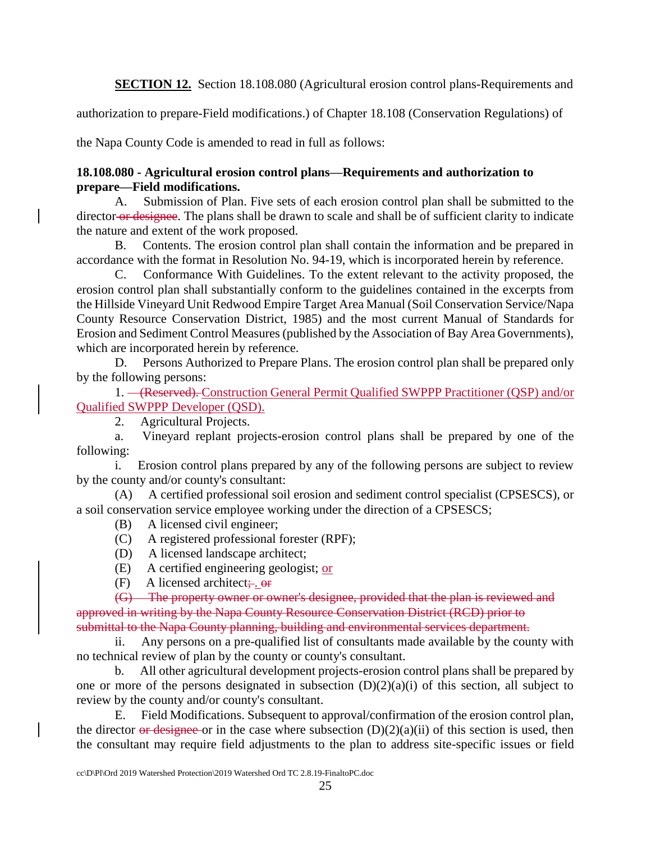**SECTION 12.** Section 18.108.080 (Agricultural erosion control plans-Requirements and

authorization to prepare-Field modifications.) of Chapter 18.108 (Conservation Regulations) of

the Napa County Code is amended to read in full as follows:

## **18.108.080 - Agricultural erosion control plans—Requirements and authorization to prepare—Field modifications.**

A. Submission of Plan. Five sets of each erosion control plan shall be submitted to the director-or designee. The plans shall be drawn to scale and shall be of sufficient clarity to indicate the nature and extent of the work proposed.

B. Contents. The erosion control plan shall contain the information and be prepared in accordance with the format in Resolution No. 94-19, which is incorporated herein by reference.

C. Conformance With Guidelines. To the extent relevant to the activity proposed, the erosion control plan shall substantially conform to the guidelines contained in the excerpts from the Hillside Vineyard Unit Redwood Empire Target Area Manual (Soil Conservation Service/Napa County Resource Conservation District, 1985) and the most current Manual of Standards for Erosion and Sediment Control Measures (published by the Association of Bay Area Governments), which are incorporated herein by reference.

D. Persons Authorized to Prepare Plans. The erosion control plan shall be prepared only by the following persons:

1. (Reserved). Construction General Permit Qualified SWPPP Practitioner (QSP) and/or Qualified SWPPP Developer (QSD).

2. Agricultural Projects.

a. Vineyard replant projects-erosion control plans shall be prepared by one of the following:

i. Erosion control plans prepared by any of the following persons are subject to review by the county and/or county's consultant:

(A) A certified professional soil erosion and sediment control specialist (CPSESCS), or a soil conservation service employee working under the direction of a CPSESCS;

(B) A licensed civil engineer;

(C) A registered professional forester (RPF);

(D) A licensed landscape architect;

(E) A certified engineering geologist; or

 $(F)$  A licensed architect;  $\theta$ 

(G) The property owner or owner's designee, provided that the plan is reviewed and approved in writing by the Napa County Resource Conservation District (RCD) prior to submittal to the Napa County planning, building and environmental services department.

ii. Any persons on a pre-qualified list of consultants made available by the county with no technical review of plan by the county or county's consultant.

b. All other agricultural development projects-erosion control plans shall be prepared by one or more of the persons designated in subsection  $(D)(2)(a)(i)$  of this section, all subject to review by the county and/or county's consultant.

E. Field Modifications. Subsequent to approval/confirmation of the erosion control plan, the director or designee or in the case where subsection  $(D)(2)(a)(ii)$  of this section is used, then the consultant may require field adjustments to the plan to address site-specific issues or field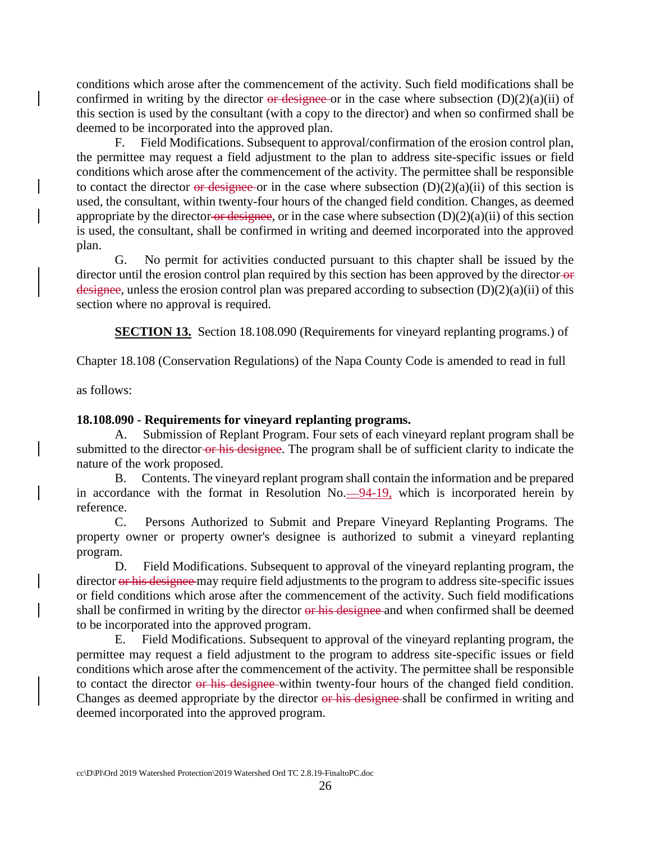conditions which arose after the commencement of the activity. Such field modifications shall be confirmed in writing by the director or designee or in the case where subsection  $(D)(2)(a)(ii)$  of this section is used by the consultant (with a copy to the director) and when so confirmed shall be deemed to be incorporated into the approved plan.

F. Field Modifications. Subsequent to approval/confirmation of the erosion control plan, the permittee may request a field adjustment to the plan to address site-specific issues or field conditions which arose after the commencement of the activity. The permittee shall be responsible to contact the director or designee or in the case where subsection  $(D)(2)(a)(ii)$  of this section is used, the consultant, within twenty-four hours of the changed field condition. Changes, as deemed appropriate by the director or designee, or in the case where subsection  $(D)(2)(a)(ii)$  of this section is used, the consultant, shall be confirmed in writing and deemed incorporated into the approved plan.

G. No permit for activities conducted pursuant to this chapter shall be issued by the director until the erosion control plan required by this section has been approved by the director-or designee, unless the erosion control plan was prepared according to subsection (D)(2)(a)(ii) of this section where no approval is required.

**SECTION 13.** Section 18.108.090 (Requirements for vineyard replanting programs.) of

Chapter 18.108 (Conservation Regulations) of the Napa County Code is amended to read in full

as follows:

### **18.108.090 - Requirements for vineyard replanting programs.**

A. Submission of Replant Program. Four sets of each vineyard replant program shall be submitted to the director-or his designee. The program shall be of sufficient clarity to indicate the nature of the work proposed.

B. Contents. The vineyard replant program shall contain the information and be prepared in accordance with the format in Resolution  $No.$   $-94-19$ , which is incorporated herein by reference.

C. Persons Authorized to Submit and Prepare Vineyard Replanting Programs. The property owner or property owner's designee is authorized to submit a vineyard replanting program.

D. Field Modifications. Subsequent to approval of the vineyard replanting program, the director or his designee may require field adjustments to the program to address site-specific issues or field conditions which arose after the commencement of the activity. Such field modifications shall be confirmed in writing by the director or his designee and when confirmed shall be deemed to be incorporated into the approved program.

E. Field Modifications. Subsequent to approval of the vineyard replanting program, the permittee may request a field adjustment to the program to address site-specific issues or field conditions which arose after the commencement of the activity. The permittee shall be responsible to contact the director or his designee within twenty-four hours of the changed field condition. Changes as deemed appropriate by the director or his designee-shall be confirmed in writing and deemed incorporated into the approved program.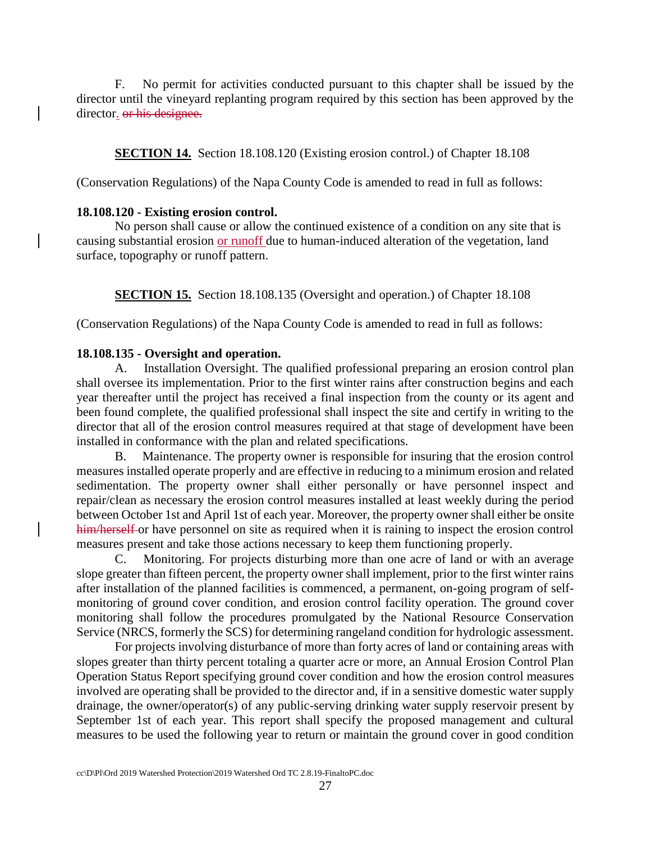F. No permit for activities conducted pursuant to this chapter shall be issued by the director until the vineyard replanting program required by this section has been approved by the director. or his designee.

**SECTION 14.** Section 18.108.120 (Existing erosion control.) of Chapter 18.108

(Conservation Regulations) of the Napa County Code is amended to read in full as follows:

#### **18.108.120 - Existing erosion control.**

No person shall cause or allow the continued existence of a condition on any site that is causing substantial erosion or runoff due to human-induced alteration of the vegetation, land surface, topography or runoff pattern.

**SECTION 15.** Section 18.108.135 (Oversight and operation.) of Chapter 18.108

(Conservation Regulations) of the Napa County Code is amended to read in full as follows:

### **18.108.135 - Oversight and operation.**

A. Installation Oversight. The qualified professional preparing an erosion control plan shall oversee its implementation. Prior to the first winter rains after construction begins and each year thereafter until the project has received a final inspection from the county or its agent and been found complete, the qualified professional shall inspect the site and certify in writing to the director that all of the erosion control measures required at that stage of development have been installed in conformance with the plan and related specifications.

B. Maintenance. The property owner is responsible for insuring that the erosion control measures installed operate properly and are effective in reducing to a minimum erosion and related sedimentation. The property owner shall either personally or have personnel inspect and repair/clean as necessary the erosion control measures installed at least weekly during the period between October 1st and April 1st of each year. Moreover, the property owner shall either be onsite him/herself or have personnel on site as required when it is raining to inspect the erosion control measures present and take those actions necessary to keep them functioning properly.

C. Monitoring. For projects disturbing more than one acre of land or with an average slope greater than fifteen percent, the property owner shall implement, prior to the first winter rains after installation of the planned facilities is commenced, a permanent, on-going program of selfmonitoring of ground cover condition, and erosion control facility operation. The ground cover monitoring shall follow the procedures promulgated by the National Resource Conservation Service (NRCS, formerly the SCS) for determining rangeland condition for hydrologic assessment.

For projects involving disturbance of more than forty acres of land or containing areas with slopes greater than thirty percent totaling a quarter acre or more, an Annual Erosion Control Plan Operation Status Report specifying ground cover condition and how the erosion control measures involved are operating shall be provided to the director and, if in a sensitive domestic water supply drainage, the owner/operator(s) of any public-serving drinking water supply reservoir present by September 1st of each year. This report shall specify the proposed management and cultural measures to be used the following year to return or maintain the ground cover in good condition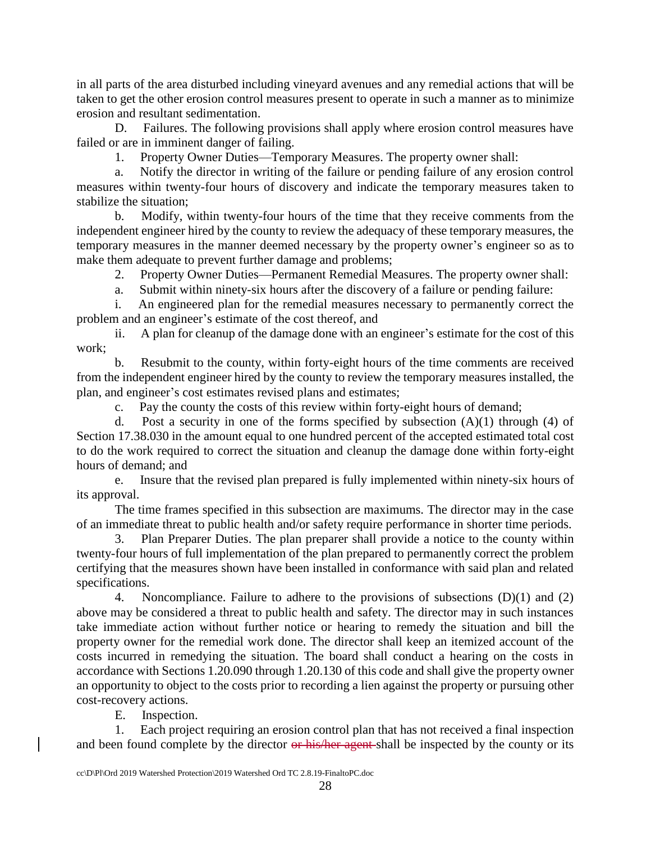in all parts of the area disturbed including vineyard avenues and any remedial actions that will be taken to get the other erosion control measures present to operate in such a manner as to minimize erosion and resultant sedimentation.

D. Failures. The following provisions shall apply where erosion control measures have failed or are in imminent danger of failing.

1. Property Owner Duties—Temporary Measures. The property owner shall:

a. Notify the director in writing of the failure or pending failure of any erosion control measures within twenty-four hours of discovery and indicate the temporary measures taken to stabilize the situation;

b. Modify, within twenty-four hours of the time that they receive comments from the independent engineer hired by the county to review the adequacy of these temporary measures, the temporary measures in the manner deemed necessary by the property owner's engineer so as to make them adequate to prevent further damage and problems;

2. Property Owner Duties—Permanent Remedial Measures. The property owner shall:

a. Submit within ninety-six hours after the discovery of a failure or pending failure:

i. An engineered plan for the remedial measures necessary to permanently correct the problem and an engineer's estimate of the cost thereof, and

ii. A plan for cleanup of the damage done with an engineer's estimate for the cost of this work;

b. Resubmit to the county, within forty-eight hours of the time comments are received from the independent engineer hired by the county to review the temporary measures installed, the plan, and engineer's cost estimates revised plans and estimates;

c. Pay the county the costs of this review within forty-eight hours of demand;

d. Post a security in one of the forms specified by subsection  $(A)(1)$  through  $(4)$  of Section 17.38.030 in the amount equal to one hundred percent of the accepted estimated total cost to do the work required to correct the situation and cleanup the damage done within forty-eight hours of demand; and

e. Insure that the revised plan prepared is fully implemented within ninety-six hours of its approval.

The time frames specified in this subsection are maximums. The director may in the case of an immediate threat to public health and/or safety require performance in shorter time periods.

3. Plan Preparer Duties. The plan preparer shall provide a notice to the county within twenty-four hours of full implementation of the plan prepared to permanently correct the problem certifying that the measures shown have been installed in conformance with said plan and related specifications.

4. Noncompliance. Failure to adhere to the provisions of subsections (D)(1) and (2) above may be considered a threat to public health and safety. The director may in such instances take immediate action without further notice or hearing to remedy the situation and bill the property owner for the remedial work done. The director shall keep an itemized account of the costs incurred in remedying the situation. The board shall conduct a hearing on the costs in accordance with Sections 1.20.090 through 1.20.130 of this code and shall give the property owner an opportunity to object to the costs prior to recording a lien against the property or pursuing other cost-recovery actions.

E. Inspection.

1. Each project requiring an erosion control plan that has not received a final inspection and been found complete by the director or his/her agent shall be inspected by the county or its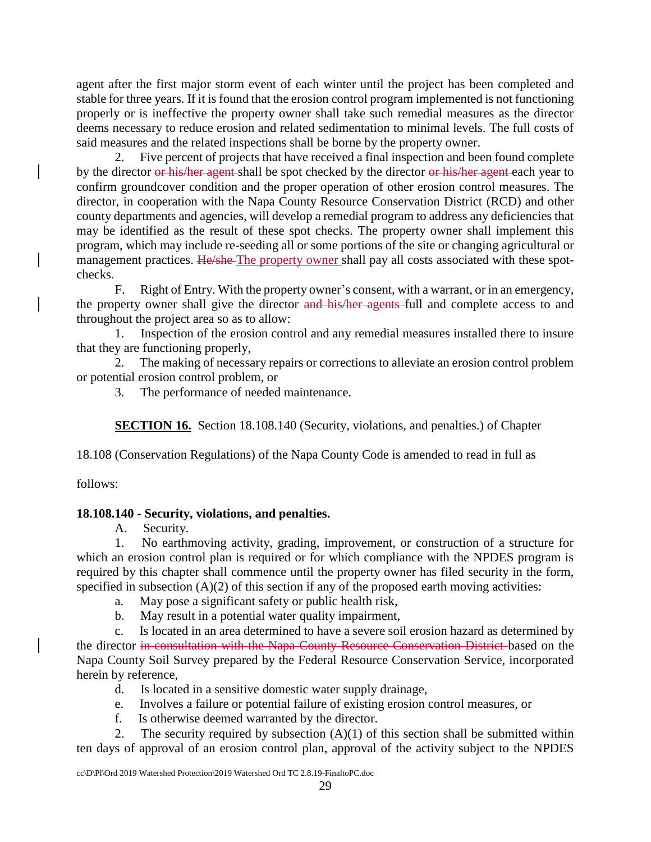agent after the first major storm event of each winter until the project has been completed and stable for three years. If it is found that the erosion control program implemented is not functioning properly or is ineffective the property owner shall take such remedial measures as the director deems necessary to reduce erosion and related sedimentation to minimal levels. The full costs of said measures and the related inspections shall be borne by the property owner.

2. Five percent of projects that have received a final inspection and been found complete by the director or his/her agent shall be spot checked by the director or his/her agent each year to confirm groundcover condition and the proper operation of other erosion control measures. The director, in cooperation with the Napa County Resource Conservation District (RCD) and other county departments and agencies, will develop a remedial program to address any deficiencies that may be identified as the result of these spot checks. The property owner shall implement this program, which may include re-seeding all or some portions of the site or changing agricultural or management practices. He/she The property owner shall pay all costs associated with these spotchecks.

F. Right of Entry. With the property owner's consent, with a warrant, or in an emergency, the property owner shall give the director and his/her agents full and complete access to and throughout the project area so as to allow:

1. Inspection of the erosion control and any remedial measures installed there to insure that they are functioning properly,

2. The making of necessary repairs or corrections to alleviate an erosion control problem or potential erosion control problem, or

3. The performance of needed maintenance.

**SECTION 16.** Section 18.108.140 (Security, violations, and penalties.) of Chapter

18.108 (Conservation Regulations) of the Napa County Code is amended to read in full as

follows:

## **18.108.140 - Security, violations, and penalties.**

A. Security.

1. No earthmoving activity, grading, improvement, or construction of a structure for which an erosion control plan is required or for which compliance with the NPDES program is required by this chapter shall commence until the property owner has filed security in the form, specified in subsection  $(A)(2)$  of this section if any of the proposed earth moving activities:

a. May pose a significant safety or public health risk,

b. May result in a potential water quality impairment,

c. Is located in an area determined to have a severe soil erosion hazard as determined by the director in consultation with the Napa County Resource Conservation District based on the Napa County Soil Survey prepared by the Federal Resource Conservation Service, incorporated herein by reference,

- d. Is located in a sensitive domestic water supply drainage,
- e. Involves a failure or potential failure of existing erosion control measures, or
- f. Is otherwise deemed warranted by the director.

2. The security required by subsection  $(A)(1)$  of this section shall be submitted within ten days of approval of an erosion control plan, approval of the activity subject to the NPDES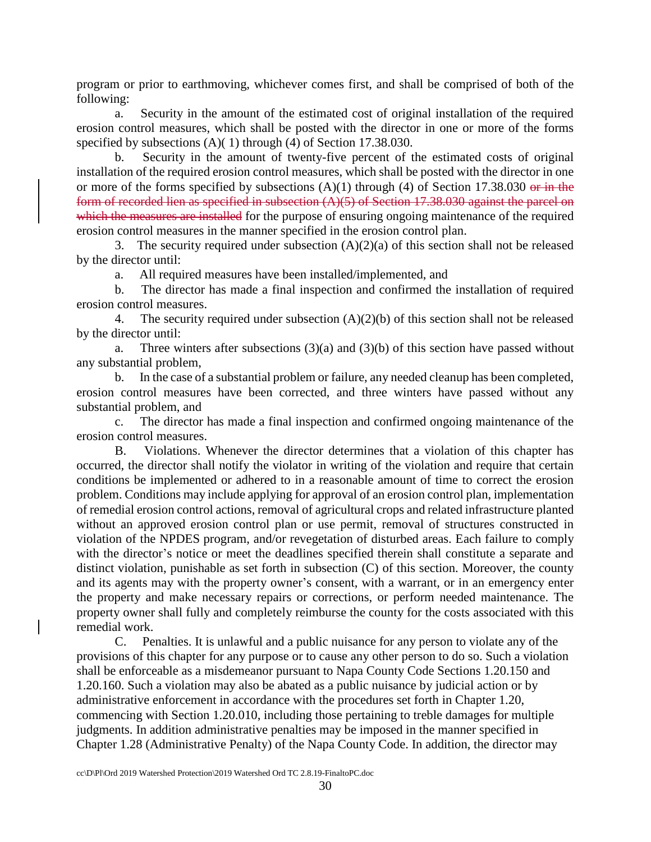program or prior to earthmoving, whichever comes first, and shall be comprised of both of the following:

a. Security in the amount of the estimated cost of original installation of the required erosion control measures, which shall be posted with the director in one or more of the forms specified by subsections (A)( 1) through (4) of Section 17.38.030.

b. Security in the amount of twenty-five percent of the estimated costs of original installation of the required erosion control measures, which shall be posted with the director in one or more of the forms specified by subsections  $(A)(1)$  through  $(4)$  of Section 17.38.030 or in the form of recorded lien as specified in subsection (A)(5) of Section 17.38.030 against the parcel on which the measures are installed for the purpose of ensuring ongoing maintenance of the required erosion control measures in the manner specified in the erosion control plan.

3. The security required under subsection  $(A)(2)(a)$  of this section shall not be released by the director until:

a. All required measures have been installed/implemented, and

b. The director has made a final inspection and confirmed the installation of required erosion control measures.

4. The security required under subsection (A)(2)(b) of this section shall not be released by the director until:

a. Three winters after subsections  $(3)(a)$  and  $(3)(b)$  of this section have passed without any substantial problem,

b. In the case of a substantial problem or failure, any needed cleanup has been completed, erosion control measures have been corrected, and three winters have passed without any substantial problem, and

c. The director has made a final inspection and confirmed ongoing maintenance of the erosion control measures.

B. Violations. Whenever the director determines that a violation of this chapter has occurred, the director shall notify the violator in writing of the violation and require that certain conditions be implemented or adhered to in a reasonable amount of time to correct the erosion problem. Conditions may include applying for approval of an erosion control plan, implementation of remedial erosion control actions, removal of agricultural crops and related infrastructure planted without an approved erosion control plan or use permit, removal of structures constructed in violation of the NPDES program, and/or revegetation of disturbed areas. Each failure to comply with the director's notice or meet the deadlines specified therein shall constitute a separate and distinct violation, punishable as set forth in subsection (C) of this section. Moreover, the county and its agents may with the property owner's consent, with a warrant, or in an emergency enter the property and make necessary repairs or corrections, or perform needed maintenance. The property owner shall fully and completely reimburse the county for the costs associated with this remedial work.

C. Penalties. It is unlawful and a public nuisance for any person to violate any of the provisions of this chapter for any purpose or to cause any other person to do so. Such a violation shall be enforceable as a misdemeanor pursuant to Napa County Code Sections 1.20.150 and 1.20.160. Such a violation may also be abated as a public nuisance by judicial action or by administrative enforcement in accordance with the procedures set forth in Chapter 1.20, commencing with Section 1.20.010, including those pertaining to treble damages for multiple judgments. In addition administrative penalties may be imposed in the manner specified in Chapter 1.28 (Administrative Penalty) of the Napa County Code. In addition, the director may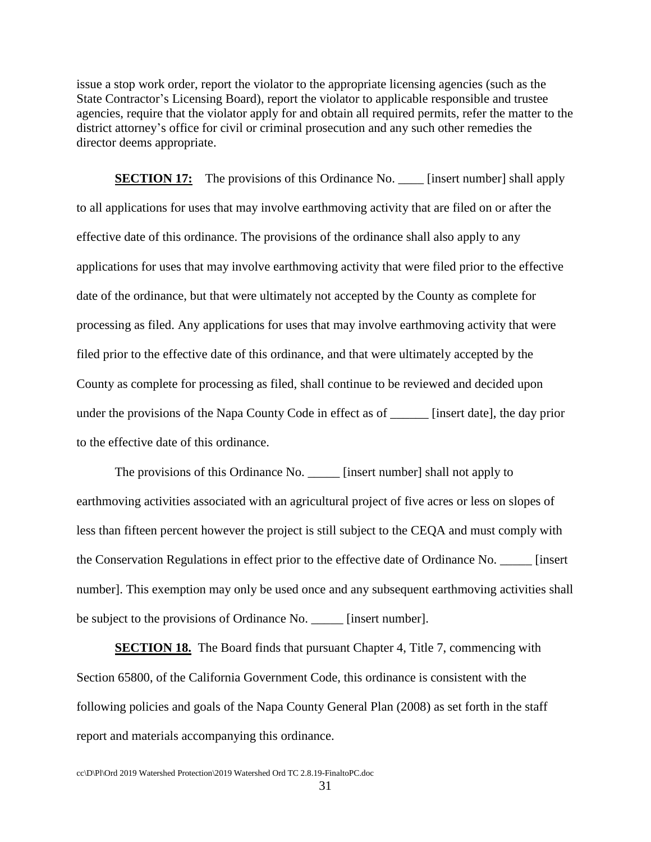issue a stop work order, report the violator to the appropriate licensing agencies (such as the State Contractor's Licensing Board), report the violator to applicable responsible and trustee agencies, require that the violator apply for and obtain all required permits, refer the matter to the district attorney's office for civil or criminal prosecution and any such other remedies the director deems appropriate.

**SECTION 17:** The provisions of this Ordinance No. \_\_\_\_ [insert number] shall apply to all applications for uses that may involve earthmoving activity that are filed on or after the effective date of this ordinance. The provisions of the ordinance shall also apply to any applications for uses that may involve earthmoving activity that were filed prior to the effective date of the ordinance, but that were ultimately not accepted by the County as complete for processing as filed. Any applications for uses that may involve earthmoving activity that were filed prior to the effective date of this ordinance, and that were ultimately accepted by the County as complete for processing as filed, shall continue to be reviewed and decided upon under the provisions of the Napa County Code in effect as of \_\_\_\_\_\_ [insert date], the day prior to the effective date of this ordinance.

The provisions of this Ordinance No. \_\_\_\_\_ [insert number] shall not apply to earthmoving activities associated with an agricultural project of five acres or less on slopes of less than fifteen percent however the project is still subject to the CEQA and must comply with the Conservation Regulations in effect prior to the effective date of Ordinance No. \_\_\_\_\_ [insert number]. This exemption may only be used once and any subsequent earthmoving activities shall be subject to the provisions of Ordinance No. \_\_\_\_\_ [insert number].

**SECTION 18.** The Board finds that pursuant Chapter 4, Title 7, commencing with Section 65800, of the California Government Code, this ordinance is consistent with the following policies and goals of the Napa County General Plan (2008) as set forth in the staff report and materials accompanying this ordinance.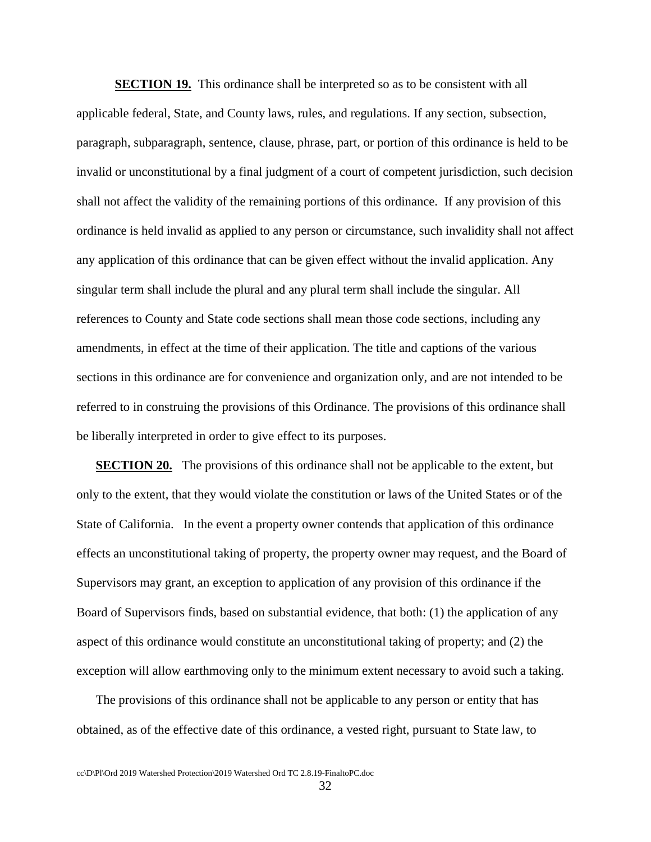**SECTION 19.** This ordinance shall be interpreted so as to be consistent with all applicable federal, State, and County laws, rules, and regulations. If any section, subsection, paragraph, subparagraph, sentence, clause, phrase, part, or portion of this ordinance is held to be invalid or unconstitutional by a final judgment of a court of competent jurisdiction, such decision shall not affect the validity of the remaining portions of this ordinance. If any provision of this ordinance is held invalid as applied to any person or circumstance, such invalidity shall not affect any application of this ordinance that can be given effect without the invalid application. Any singular term shall include the plural and any plural term shall include the singular. All references to County and State code sections shall mean those code sections, including any amendments, in effect at the time of their application. The title and captions of the various sections in this ordinance are for convenience and organization only, and are not intended to be referred to in construing the provisions of this Ordinance. The provisions of this ordinance shall be liberally interpreted in order to give effect to its purposes.

**SECTION 20.** The provisions of this ordinance shall not be applicable to the extent, but only to the extent, that they would violate the constitution or laws of the United States or of the State of California. In the event a property owner contends that application of this ordinance effects an unconstitutional taking of property, the property owner may request, and the Board of Supervisors may grant, an exception to application of any provision of this ordinance if the Board of Supervisors finds, based on substantial evidence, that both: (1) the application of any aspect of this ordinance would constitute an unconstitutional taking of property; and (2) the exception will allow earthmoving only to the minimum extent necessary to avoid such a taking.

The provisions of this ordinance shall not be applicable to any person or entity that has obtained, as of the effective date of this ordinance, a vested right, pursuant to State law, to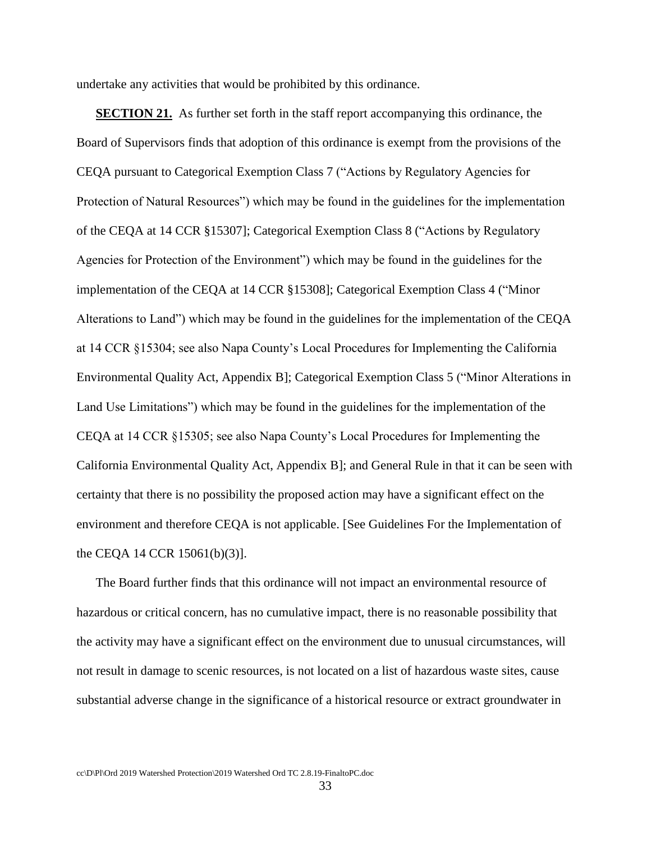undertake any activities that would be prohibited by this ordinance.

**SECTION 21.** As further set forth in the staff report accompanying this ordinance, the Board of Supervisors finds that adoption of this ordinance is exempt from the provisions of the CEQA pursuant to Categorical Exemption Class 7 ("Actions by Regulatory Agencies for Protection of Natural Resources") which may be found in the guidelines for the implementation of the CEQA at 14 CCR §15307]; Categorical Exemption Class 8 ("Actions by Regulatory Agencies for Protection of the Environment") which may be found in the guidelines for the implementation of the CEQA at 14 CCR §15308]; Categorical Exemption Class 4 ("Minor Alterations to Land") which may be found in the guidelines for the implementation of the CEQA at 14 CCR §15304; see also Napa County's Local Procedures for Implementing the California Environmental Quality Act, Appendix B]; Categorical Exemption Class 5 ("Minor Alterations in Land Use Limitations") which may be found in the guidelines for the implementation of the CEQA at 14 CCR §15305; see also Napa County's Local Procedures for Implementing the California Environmental Quality Act, Appendix B]; and General Rule in that it can be seen with certainty that there is no possibility the proposed action may have a significant effect on the environment and therefore CEQA is not applicable. [See Guidelines For the Implementation of the CEQA 14 CCR 15061(b)(3)].

The Board further finds that this ordinance will not impact an environmental resource of hazardous or critical concern, has no cumulative impact, there is no reasonable possibility that the activity may have a significant effect on the environment due to unusual circumstances, will not result in damage to scenic resources, is not located on a list of hazardous waste sites, cause substantial adverse change in the significance of a historical resource or extract groundwater in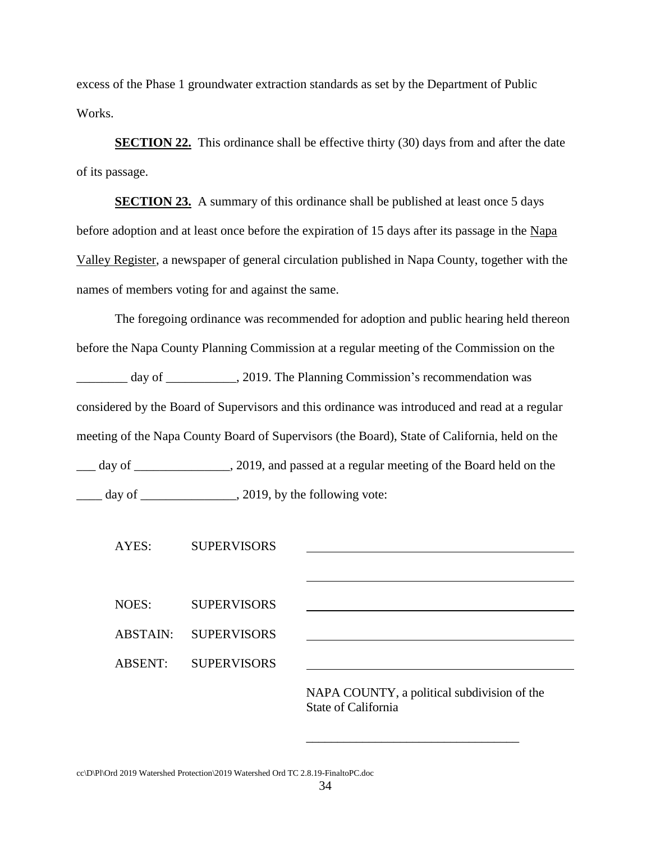excess of the Phase 1 groundwater extraction standards as set by the Department of Public Works.

**SECTION 22.** This ordinance shall be effective thirty (30) days from and after the date of its passage.

**SECTION 23.** A summary of this ordinance shall be published at least once 5 days before adoption and at least once before the expiration of 15 days after its passage in the Napa Valley Register, a newspaper of general circulation published in Napa County, together with the names of members voting for and against the same.

The foregoing ordinance was recommended for adoption and public hearing held thereon before the Napa County Planning Commission at a regular meeting of the Commission on the \_\_\_\_\_\_\_\_ day of \_\_\_\_\_\_\_\_\_\_\_, 2019. The Planning Commission's recommendation was considered by the Board of Supervisors and this ordinance was introduced and read at a regular meeting of the Napa County Board of Supervisors (the Board), State of California, held on the \_\_\_ day of \_\_\_\_\_\_\_\_\_\_\_\_\_\_\_, 2019, and passed at a regular meeting of the Board held on the  $\frac{1}{\sqrt{2\pi}}$  day of  $\frac{1}{\sqrt{2\pi}}$ , 2019, by the following vote:

| AYES: |                | <b>SUPERVISORS</b> |                                             |
|-------|----------------|--------------------|---------------------------------------------|
|       |                |                    |                                             |
|       |                |                    |                                             |
| NOES: |                | <b>SUPERVISORS</b> |                                             |
|       | ABSTAIN:       | <b>SUPERVISORS</b> |                                             |
|       | <b>ABSENT:</b> | <b>SUPERVISORS</b> |                                             |
|       |                |                    |                                             |
|       |                |                    | NAPA COUNTY, a political subdivision of the |

State of California

\_\_\_\_\_\_\_\_\_\_\_\_\_\_\_\_\_\_\_\_\_\_\_\_\_\_\_\_\_\_\_\_\_\_

cc\D\Pl\Ord 2019 Watershed Protection\2019 Watershed Ord TC 2.8.19-FinaltoPC.doc